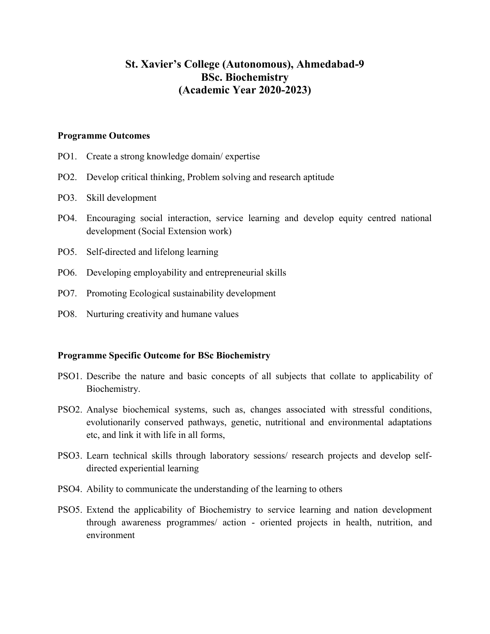# **St. Xavier's College (Autonomous), Ahmedabad-9 BSc. Biochemistry (Academic Year 2020-2023)**

#### **Programme Outcomes**

- PO1. Create a strong knowledge domain/ expertise
- PO2. Develop critical thinking, Problem solving and research aptitude
- PO3. Skill development
- PO4. Encouraging social interaction, service learning and develop equity centred national development (Social Extension work)
- PO5. Self-directed and lifelong learning
- PO6. Developing employability and entrepreneurial skills
- PO7. Promoting Ecological sustainability development
- PO8. Nurturing creativity and humane values

#### **Programme Specific Outcome for BSc Biochemistry**

- PSO1. Describe the nature and basic concepts of all subjects that collate to applicability of Biochemistry.
- PSO2. Analyse biochemical systems, such as, changes associated with stressful conditions, evolutionarily conserved pathways, genetic, nutritional and environmental adaptations etc, and link it with life in all forms,
- PSO3. Learn technical skills through laboratory sessions/ research projects and develop selfdirected experiential learning
- PSO4. Ability to communicate the understanding of the learning to others
- PSO5. Extend the applicability of Biochemistry to service learning and nation development through awareness programmes/ action - oriented projects in health, nutrition, and environment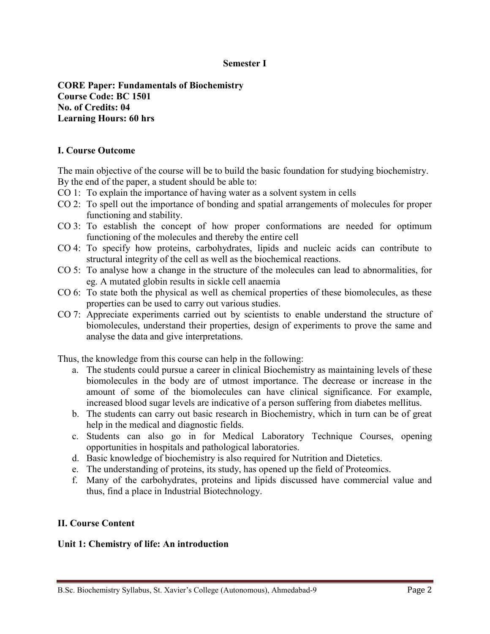#### **Semester I**

**CORE Paper: Fundamentals of Biochemistry Course Code: BC 1501 No. of Credits: 04 Learning Hours: 60 hrs**

#### **I. Course Outcome**

The main objective of the course will be to build the basic foundation for studying biochemistry. By the end of the paper, a student should be able to:

- CO 1: To explain the importance of having water as a solvent system in cells
- CO 2: To spell out the importance of bonding and spatial arrangements of molecules for proper functioning and stability.
- CO 3: To establish the concept of how proper conformations are needed for optimum functioning of the molecules and thereby the entire cell
- CO 4: To specify how proteins, carbohydrates, lipids and nucleic acids can contribute to structural integrity of the cell as well as the biochemical reactions.
- CO 5: To analyse how a change in the structure of the molecules can lead to abnormalities, for eg. A mutated globin results in sickle cell anaemia
- CO 6: To state both the physical as well as chemical properties of these biomolecules, as these properties can be used to carry out various studies.
- CO 7: Appreciate experiments carried out by scientists to enable understand the structure of biomolecules, understand their properties, design of experiments to prove the same and analyse the data and give interpretations.

Thus, the knowledge from this course can help in the following:

- a. The students could pursue a career in clinical Biochemistry as maintaining levels of these biomolecules in the body are of utmost importance. The decrease or increase in the amount of some of the biomolecules can have clinical significance. For example, increased blood sugar levels are indicative of a person suffering from diabetes mellitus.
- b. The students can carry out basic research in Biochemistry, which in turn can be of great help in the medical and diagnostic fields.
- c. Students can also go in for Medical Laboratory Technique Courses, opening opportunities in hospitals and pathological laboratories.
- d. Basic knowledge of biochemistry is also required for Nutrition and Dietetics.
- e. The understanding of proteins, its study, has opened up the field of Proteomics.
- f. Many of the carbohydrates, proteins and lipids discussed have commercial value and thus, find a place in Industrial Biotechnology.

#### **II. Course Content**

#### **Unit 1: Chemistry of life: An introduction**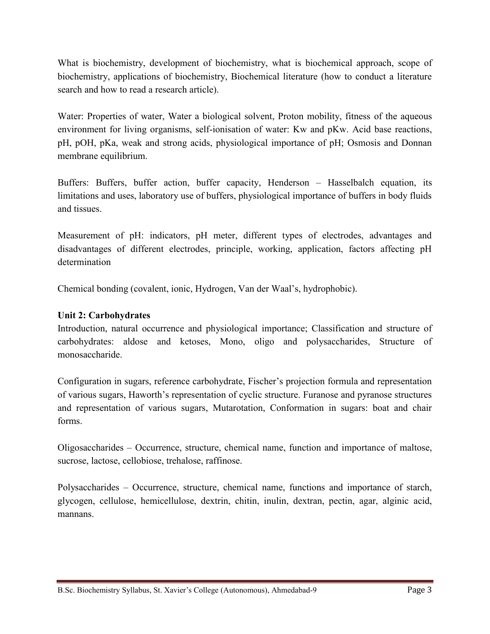What is biochemistry, development of biochemistry, what is biochemical approach, scope of biochemistry, applications of biochemistry, Biochemical literature (how to conduct a literature search and how to read a research article).

Water: Properties of water, Water a biological solvent, Proton mobility, fitness of the aqueous environment for living organisms, self-ionisation of water: Kw and pKw. Acid base reactions, pH, pOH, pKa, weak and strong acids, physiological importance of pH; Osmosis and Donnan membrane equilibrium.

Buffers: Buffers, buffer action, buffer capacity, Henderson – Hasselbalch equation, its limitations and uses, laboratory use of buffers, physiological importance of buffers in body fluids and tissues.

Measurement of pH: indicators, pH meter, different types of electrodes, advantages and disadvantages of different electrodes, principle, working, application, factors affecting pH determination

Chemical bonding (covalent, ionic, Hydrogen, Van der Waal's, hydrophobic).

# **Unit 2: Carbohydrates**

Introduction, natural occurrence and physiological importance; Classification and structure of carbohydrates: aldose and ketoses, Mono, oligo and polysaccharides, Structure of monosaccharide.

Configuration in sugars, reference carbohydrate, Fischer's projection formula and representation of various sugars, Haworth's representation of cyclic structure. Furanose and pyranose structures and representation of various sugars, Mutarotation, Conformation in sugars: boat and chair forms.

Oligosaccharides – Occurrence, structure, chemical name, function and importance of maltose, sucrose, lactose, cellobiose, trehalose, raffinose.

Polysaccharides – Occurrence, structure, chemical name, functions and importance of starch, glycogen, cellulose, hemicellulose, dextrin, chitin, inulin, dextran, pectin, agar, alginic acid, mannans.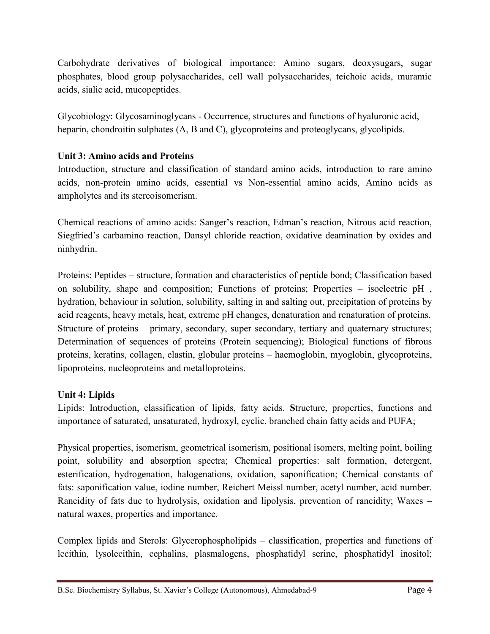Carbohydrate derivatives of biological importance: Amino sugars, deoxysugars, sugar phosphates, blood group polysaccharides, cell wall polysaccharides, teichoic acids, muramic acids, sialic acid, mucopeptides.

Glycobiology: Glycosaminoglycans - Occurrence, structures and functions of hyaluronic acid, heparin, chondroitin sulphates (A, B and C), glycoproteins and proteoglycans, glycolipids.

# **Unit 3: Amino acids and Proteins**

Introduction, structure and classification of standard amino acids, introduction to rare amino acids, non-protein amino acids, essential vs Non-essential amino acids, Amino acids as ampholytes and its stereoisomerism.

Chemical reactions of amino acids: Sanger's reaction, Edman's reaction, Nitrous acid reaction, Siegfried's carbamino reaction, Dansyl chloride reaction, oxidative deamination by oxides and ninhydrin.

Proteins: Peptides – structure, formation and characteristics of peptide bond; Classification based on solubility, shape and composition; Functions of proteins; Properties – isoelectric pH , hydration, behaviour in solution, solubility, salting in and salting out, precipitation of proteins by acid reagents, heavy metals, heat, extreme pH changes, denaturation and renaturation of proteins. Structure of proteins – primary, secondary, super secondary, tertiary and quaternary structures; Determination of sequences of proteins (Protein sequencing); Biological functions of fibrous proteins, keratins, collagen, elastin, globular proteins – haemoglobin, myoglobin, glycoproteins, lipoproteins, nucleoproteins and metalloproteins.

## **Unit 4: Lipids**

Lipids: Introduction, classification of lipids, fatty acids. **S**tructure, properties, functions and importance of saturated, unsaturated, hydroxyl, cyclic, branched chain fatty acids and PUFA;

Physical properties, isomerism, geometrical isomerism, positional isomers, melting point, boiling point, solubility and absorption spectra; Chemical properties: salt formation, detergent, esterification, hydrogenation, halogenations, oxidation, saponification; Chemical constants of fats: saponification value, iodine number, Reichert Meissl number, acetyl number, acid number. Rancidity of fats due to hydrolysis, oxidation and lipolysis, prevention of rancidity; Waxes – natural waxes, properties and importance.

Complex lipids and Sterols: Glycerophospholipids – classification, properties and functions of lecithin, lysolecithin, cephalins, plasmalogens, phosphatidyl serine, phosphatidyl inositol;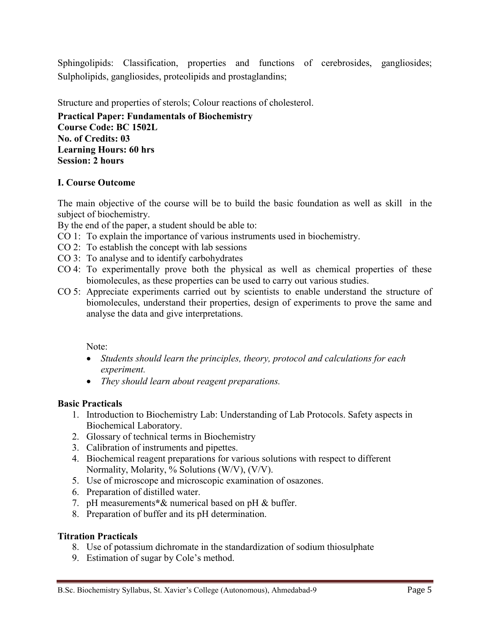Sphingolipids: Classification, properties and functions of cerebrosides, gangliosides; Sulpholipids, gangliosides, proteolipids and prostaglandins;

Structure and properties of sterols; Colour reactions of cholesterol.

**Practical Paper: Fundamentals of Biochemistry Course Code: BC 1502L No. of Credits: 03 Learning Hours: 60 hrs Session: 2 hours**

## **I. Course Outcome**

The main objective of the course will be to build the basic foundation as well as skill in the subject of biochemistry.

By the end of the paper, a student should be able to:

- CO 1: To explain the importance of various instruments used in biochemistry.
- CO 2: To establish the concept with lab sessions
- CO 3: To analyse and to identify carbohydrates
- CO 4: To experimentally prove both the physical as well as chemical properties of these biomolecules, as these properties can be used to carry out various studies.
- CO 5: Appreciate experiments carried out by scientists to enable understand the structure of biomolecules, understand their properties, design of experiments to prove the same and analyse the data and give interpretations.

Note:

- *Students should learn the principles, theory, protocol and calculations for each experiment.*
- *They should learn about reagent preparations.*

## **Basic Practicals**

- 1. Introduction to Biochemistry Lab: Understanding of Lab Protocols. Safety aspects in Biochemical Laboratory.
- 2. Glossary of technical terms in Biochemistry
- 3. Calibration of instruments and pipettes.
- 4. Biochemical reagent preparations for various solutions with respect to different Normality, Molarity, % Solutions (W/V), (V/V).
- 5. Use of microscope and microscopic examination of osazones.
- 6. Preparation of distilled water.
- 7. pH measurements**\***& numerical based on pH & buffer.
- 8. Preparation of buffer and its pH determination.

#### **Titration Practicals**

- 8. Use of potassium dichromate in the standardization of sodium thiosulphate
- 9. Estimation of sugar by Cole's method.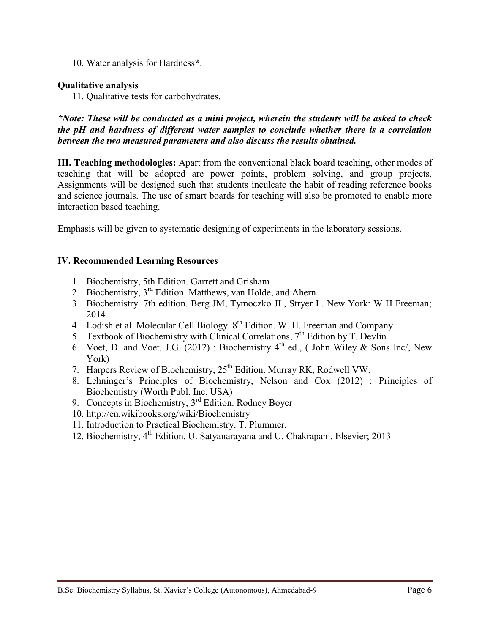10. Water analysis for Hardness**\***.

#### **Qualitative analysis**

11. Qualitative tests for carbohydrates.

*\*Note: These will be conducted as a mini project, wherein the students will be asked to check the pH and hardness of different water samples to conclude whether there is a correlation between the two measured parameters and also discuss the results obtained.*

**III. Teaching methodologies:** Apart from the conventional black board teaching, other modes of teaching that will be adopted are power points, problem solving, and group projects. Assignments will be designed such that students inculcate the habit of reading reference books and science journals. The use of smart boards for teaching will also be promoted to enable more interaction based teaching.

Emphasis will be given to systematic designing of experiments in the laboratory sessions.

#### **IV. Recommended Learning Resources**

- 1. [Biochemistry, 5th](http://web.virginia.edu/Heidi/home.htm) Edition. Garrett and Grisham
- 2. [Biochemistry,](http://www.aw-bc.com/mathews/) 3<sup>rd</sup> Edition. Matthews, van Holde, and Ahern
- 3. Biochemistry. 7th edition. Berg JM, Tymoczko JL, Stryer L. New York: W H Freeman; 2014
- 4. Lodish et al. Molecular Cell Biology. 8<sup>th</sup> Edition. W. H. Freeman and Company.
- 5. Textbook of Biochemistry with Clinical Correlations,  $7<sup>th</sup>$  Edition by T. Devlin
- 6. Voet, D. and Voet, J.G. (2012) : Biochemistry  $4<sup>th</sup>$  ed., (John Wiley & Sons Inc/, New York)
- 7. Harpers Review of Biochemistry,  $25<sup>th</sup>$  Edition. Murray RK, Rodwell VW.
- 8. Lehninger's Principles of Biochemistry, Nelson and Cox (2012) : Principles of Biochemistry (Worth Publ. Inc. USA)
- 9. Concepts in Biochemistry,  $3<sup>rd</sup>$  Edition. Rodney Boyer
- 10. <http://en.wikibooks.org/wiki/Biochemistry>
- 11. Introduction to Practical Biochemistry. T. Plummer.
- 12. Biochemistry, 4<sup>th</sup> Edition. U. Satyanarayana and U. Chakrapani. Elsevier; 2013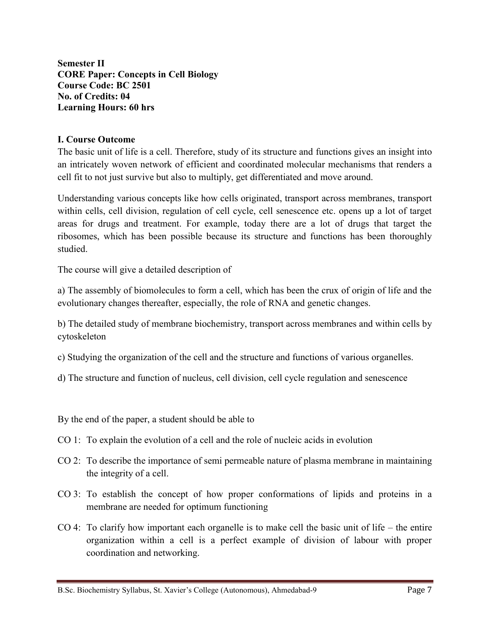**Semester II CORE Paper: Concepts in Cell Biology Course Code: BC 2501 No. of Credits: 04 Learning Hours: 60 hrs**

#### **I. Course Outcome**

The basic unit of life is a cell. Therefore, study of its structure and functions gives an insight into an intricately woven network of efficient and coordinated molecular mechanisms that renders a cell fit to not just survive but also to multiply, get differentiated and move around.

Understanding various concepts like how cells originated, transport across membranes, transport within cells, cell division, regulation of cell cycle, cell senescence etc. opens up a lot of target areas for drugs and treatment. For example, today there are a lot of drugs that target the ribosomes, which has been possible because its structure and functions has been thoroughly studied.

The course will give a detailed description of

a) The assembly of biomolecules to form a cell, which has been the crux of origin of life and the evolutionary changes thereafter, especially, the role of RNA and genetic changes.

b) The detailed study of membrane biochemistry, transport across membranes and within cells by cytoskeleton

c) Studying the organization of the cell and the structure and functions of various organelles.

d) The structure and function of nucleus, cell division, cell cycle regulation and senescence

By the end of the paper, a student should be able to

- CO 1: To explain the evolution of a cell and the role of nucleic acids in evolution
- CO 2: To describe the importance of semi permeable nature of plasma membrane in maintaining the integrity of a cell.
- CO 3: To establish the concept of how proper conformations of lipids and proteins in a membrane are needed for optimum functioning
- CO 4: To clarify how important each organelle is to make cell the basic unit of life the entire organization within a cell is a perfect example of division of labour with proper coordination and networking.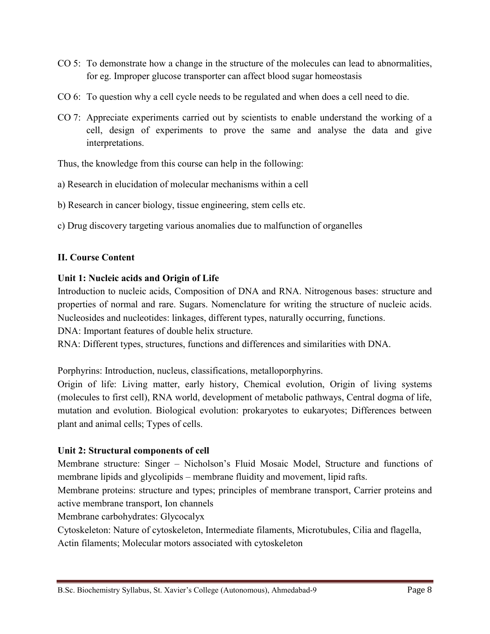- CO 5: To demonstrate how a change in the structure of the molecules can lead to abnormalities, for eg. Improper glucose transporter can affect blood sugar homeostasis
- CO 6: To question why a cell cycle needs to be regulated and when does a cell need to die.
- CO 7: Appreciate experiments carried out by scientists to enable understand the working of a cell, design of experiments to prove the same and analyse the data and give interpretations.

Thus, the knowledge from this course can help in the following:

- a) Research in elucidation of molecular mechanisms within a cell
- b) Research in cancer biology, tissue engineering, stem cells etc.
- c) Drug discovery targeting various anomalies due to malfunction of organelles

## **II. Course Content**

## **Unit 1: Nucleic acids and Origin of Life**

Introduction to nucleic acids, Composition of DNA and RNA. Nitrogenous bases: structure and properties of normal and rare. Sugars. Nomenclature for writing the structure of nucleic acids. Nucleosides and nucleotides: linkages, different types, naturally occurring, functions.

DNA: Important features of double helix structure.

RNA: Different types, structures, functions and differences and similarities with DNA.

Porphyrins: Introduction, nucleus, classifications, metalloporphyrins.

Origin of life: Living matter, early history, Chemical evolution, Origin of living systems (molecules to first cell), RNA world, development of metabolic pathways, Central dogma of life, mutation and evolution. Biological evolution: prokaryotes to eukaryotes; Differences between plant and animal cells; Types of cells.

## **Unit 2: Structural components of cell**

Membrane structure: Singer – Nicholson's Fluid Mosaic Model, Structure and functions of membrane lipids and glycolipids – membrane fluidity and movement, lipid rafts.

Membrane proteins: structure and types; principles of membrane transport, Carrier proteins and active membrane transport, Ion channels

Membrane carbohydrates: Glycocalyx

Cytoskeleton: Nature of cytoskeleton, Intermediate filaments, Microtubules, Cilia and flagella, Actin filaments; Molecular motors associated with cytoskeleton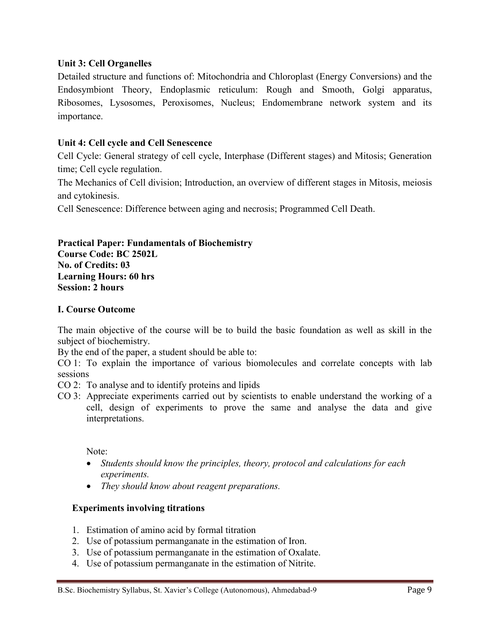## **Unit 3: Cell Organelles**

Detailed structure and functions of: Mitochondria and Chloroplast (Energy Conversions) and the Endosymbiont Theory, Endoplasmic reticulum: Rough and Smooth, Golgi apparatus, Ribosomes, Lysosomes, Peroxisomes, Nucleus; Endomembrane network system and its importance.

## **Unit 4: Cell cycle and Cell Senescence**

Cell Cycle: General strategy of cell cycle, Interphase (Different stages) and Mitosis; Generation time; Cell cycle regulation.

The Mechanics of Cell division; Introduction, an overview of different stages in Mitosis, meiosis and cytokinesis.

Cell Senescence: Difference between aging and necrosis; Programmed Cell Death.

#### **Practical Paper: Fundamentals of Biochemistry Course Code: BC 2502L No. of Credits: 03 Learning Hours: 60 hrs Session: 2 hours**

## **I. Course Outcome**

The main objective of the course will be to build the basic foundation as well as skill in the subject of biochemistry.

By the end of the paper, a student should be able to:

CO 1: To explain the importance of various biomolecules and correlate concepts with lab sessions

- CO 2: To analyse and to identify proteins and lipids
- CO 3: Appreciate experiments carried out by scientists to enable understand the working of a cell, design of experiments to prove the same and analyse the data and give interpretations.

Note:

- *Students should know the principles, theory, protocol and calculations for each experiments.*
- *They should know about reagent preparations.*

#### **Experiments involving titrations**

- 1. Estimation of amino acid by formal titration
- 2. Use of potassium permanganate in the estimation of Iron.
- 3. Use of potassium permanganate in the estimation of Oxalate.
- 4. Use of potassium permanganate in the estimation of Nitrite.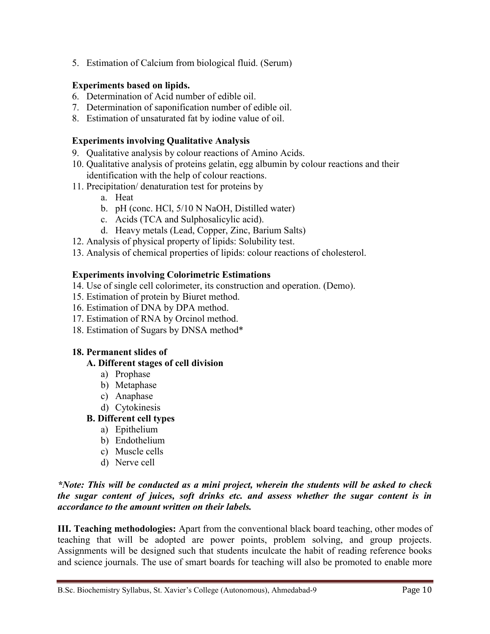5. Estimation of Calcium from biological fluid. (Serum)

## **Experiments based on lipids.**

- 6. Determination of Acid number of edible oil.
- 7. Determination of saponification number of edible oil.
- 8. Estimation of unsaturated fat by iodine value of oil.

# **Experiments involving Qualitative Analysis**

- 9. Qualitative analysis by colour reactions of Amino Acids.
- 10. Qualitative analysis of proteins gelatin, egg albumin by colour reactions and their identification with the help of colour reactions.
- 11. Precipitation/ denaturation test for proteins by
	- a. Heat
	- b. pH (conc. HCl, 5/10 N NaOH, Distilled water)
	- c. Acids (TCA and Sulphosalicylic acid).
	- d. Heavy metals (Lead, Copper, Zinc, Barium Salts)
- 12. Analysis of physical property of lipids: Solubility test.
- 13. Analysis of chemical properties of lipids: colour reactions of cholesterol.

# **Experiments involving Colorimetric Estimations**

- 14. Use of single cell colorimeter, its construction and operation. (Demo).
- 15. Estimation of protein by Biuret method.
- 16. Estimation of DNA by DPA method.
- 17. Estimation of RNA by Orcinol method.
- 18. Estimation of Sugars by DNSA method\*

## **18. Permanent slides of**

## **A. Different stages of cell division**

- a) Prophase
- b) Metaphase
- c) Anaphase
- d) Cytokinesis

# **B. Different cell types**

- a) Epithelium
- b) Endothelium
- c) Muscle cells
- d) Nerve cell

## *\*Note: This will be conducted as a mini project, wherein the students will be asked to check the sugar content of juices, soft drinks etc. and assess whether the sugar content is in accordance to the amount written on their labels.*

**III. Teaching methodologies:** Apart from the conventional black board teaching, other modes of teaching that will be adopted are power points, problem solving, and group projects. Assignments will be designed such that students inculcate the habit of reading reference books and science journals. The use of smart boards for teaching will also be promoted to enable more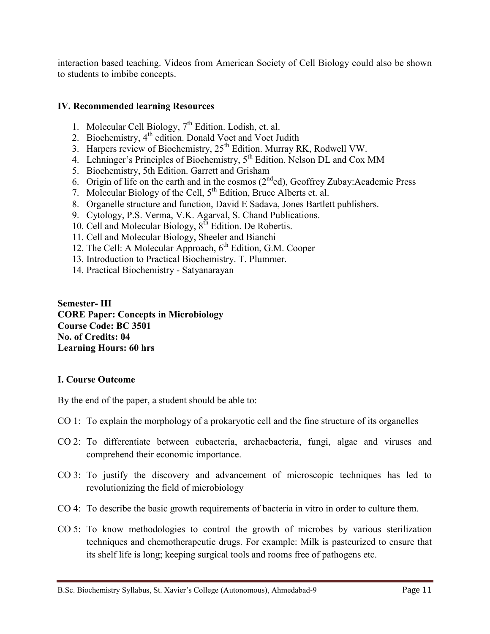interaction based teaching. Videos from American Society of Cell Biology could also be shown to students to imbibe concepts.

#### **IV. Recommended learning Resources**

- 1. [Molecular Cell Biology,](http://bcs.whfreeman.com/lodish5e/default.asp?s=&n=&i=&v=&o=&ns=0&t=&uid=0&rau=0)  $7<sup>th</sup>$  Edition. Lodish, et. al.
- 2. Biochemistry, 4<sup>th</sup> edition. Donald Voet and Voet Judith
- 3. Harpers review of Biochemistry, 25<sup>th</sup> Edition. Murray RK, Rodwell VW.
- 4. Lehninger's Principles of Biochemistry,  $5<sup>th</sup>$  Edition. Nelson DL and Cox MM
- 5. [Biochemistry, 5th Edition.](http://web.virginia.edu/Heidi/home.htm) Garrett and Grisham
- 6. Origin of life on the earth and in the cosmos  $(2<sup>nd</sup>ed)$ , Geoffrey Zubay:Academic Press
- 7. Molecular Biology of the Cell,  $5<sup>th</sup>$  Edition, Bruce Alberts et. al.
- 8. Organelle structure and function, David E Sadava, Jones Bartlett publishers.
- 9. Cytology, P.S. Verma, V.K. Agarval, S. Chand Publications.
- 10. Cell and Molecular Biology, 8th Edition. De Robertis.
- 11. Cell and Molecular Biology, Sheeler and Bianchi
- 12. The Cell: A Molecular Approach,  $6<sup>th</sup>$  Edition, G.M. Cooper
- 13. Introduction to Practical Biochemistry. T. Plummer.
- 14. Practical Biochemistry Satyanarayan

**Semester- III CORE Paper: Concepts in Microbiology Course Code: BC 3501 No. of Credits: 04 Learning Hours: 60 hrs**

#### **I. Course Outcome**

By the end of the paper, a student should be able to:

- CO 1: To explain the morphology of a prokaryotic cell and the fine structure of its organelles
- CO 2: To differentiate between eubacteria, archaebacteria, fungi, algae and viruses and comprehend their economic importance.
- CO 3: To justify the discovery and advancement of microscopic techniques has led to revolutionizing the field of microbiology
- CO 4: To describe the basic growth requirements of bacteria in vitro in order to culture them.
- CO 5: To know methodologies to control the growth of microbes by various sterilization techniques and chemotherapeutic drugs. For example: Milk is pasteurized to ensure that its shelf life is long; keeping surgical tools and rooms free of pathogens etc.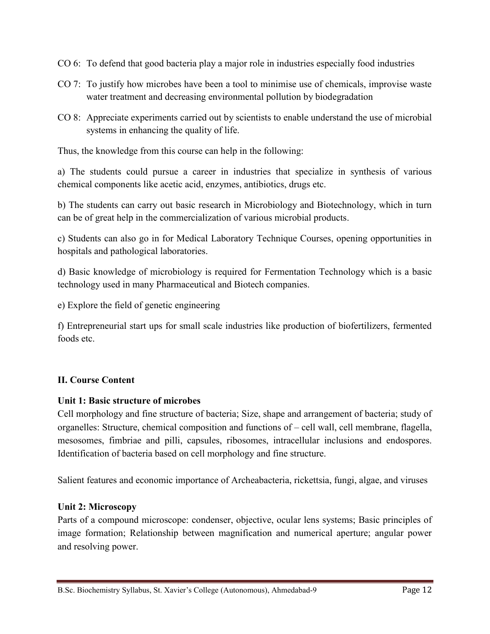- CO 6: To defend that good bacteria play a major role in industries especially food industries
- CO 7: To justify how microbes have been a tool to minimise use of chemicals, improvise waste water treatment and decreasing environmental pollution by biodegradation
- CO 8: Appreciate experiments carried out by scientists to enable understand the use of microbial systems in enhancing the quality of life.

Thus, the knowledge from this course can help in the following:

a) The students could pursue a career in industries that specialize in synthesis of various chemical components like acetic acid, enzymes, antibiotics, drugs etc.

b) The students can carry out basic research in Microbiology and Biotechnology, which in turn can be of great help in the commercialization of various microbial products.

c) Students can also go in for Medical Laboratory Technique Courses, opening opportunities in hospitals and pathological laboratories.

d) Basic knowledge of microbiology is required for Fermentation Technology which is a basic technology used in many Pharmaceutical and Biotech companies.

e) Explore the field of genetic engineering

f) Entrepreneurial start ups for small scale industries like production of biofertilizers, fermented foods etc.

# **II. Course Content**

## **Unit 1: Basic structure of microbes**

Cell morphology and fine structure of bacteria; Size, shape and arrangement of bacteria; study of organelles: Structure, chemical composition and functions of – cell wall, cell membrane, flagella, mesosomes, fimbriae and pilli, capsules, ribosomes, intracellular inclusions and endospores. Identification of bacteria based on cell morphology and fine structure.

Salient features and economic importance of Archeabacteria, rickettsia, fungi, algae, and viruses

## **Unit 2: Microscopy**

Parts of a compound microscope: condenser, objective, ocular lens systems; Basic principles of image formation; Relationship between magnification and numerical aperture; angular power and resolving power.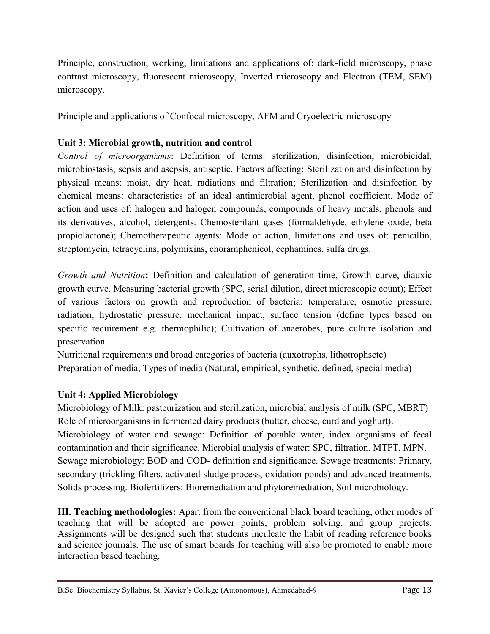Principle, construction, working, limitations and applications of: dark-field microscopy, phase contrast microscopy, fluorescent microscopy, Inverted microscopy and Electron (TEM, SEM) microscopy.

Principle and applications of Confocal microscopy, AFM and Cryoelectric microscopy

# **Unit 3: Microbial growth, nutrition and control**

*Control of microorganisms*: Definition of terms: sterilization, disinfection, microbicidal, microbiostasis, sepsis and asepsis, antiseptic. Factors affecting; Sterilization and disinfection by physical means: moist, dry heat, radiations and filtration; Sterilization and disinfection by chemical means: characteristics of an ideal antimicrobial agent, phenol coefficient. Mode of action and uses of: halogen and halogen compounds, compounds of heavy metals, phenols and its derivatives, alcohol, detergents. Chemosterilant gases (formaldehyde, ethylene oxide, beta propiolactone); Chemotherapeutic agents: Mode of action, limitations and uses of: penicillin, streptomycin, tetracyclins, polymixins, choramphenicol, cephamines, sulfa drugs.

*Growth and Nutrition***:** Definition and calculation of generation time, Growth curve, diauxic growth curve. Measuring bacterial growth (SPC, serial dilution, direct microscopic count); Effect of various factors on growth and reproduction of bacteria: temperature, osmotic pressure, radiation, hydrostatic pressure, mechanical impact, surface tension (define types based on specific requirement e.g. thermophilic); Cultivation of anaerobes, pure culture isolation and preservation.

Nutritional requirements and broad categories of bacteria (auxotrophs, lithotrophsetc) Preparation of media, Types of media (Natural, empirical, synthetic, defined, special media)

# **Unit 4: Applied Microbiology**

Microbiology of Milk: pasteurization and sterilization, microbial analysis of milk (SPC, MBRT) Role of microorganisms in fermented dairy products (butter, cheese, curd and yoghurt). Microbiology of water and sewage: Definition of potable water, index organisms of fecal contamination and their significance. Microbial analysis of water: SPC, filtration. MTFT, MPN. Sewage microbiology: BOD and COD- definition and significance. Sewage treatments: Primary, secondary (trickling filters, activated sludge process, oxidation ponds) and advanced treatments. Solids processing. Biofertilizers: Bioremediation and phytoremediation, Soil microbiology.

**III. Teaching methodologies:** Apart from the conventional black board teaching, other modes of teaching that will be adopted are power points, problem solving, and group projects. Assignments will be designed such that students inculcate the habit of reading reference books and science journals. The use of smart boards for teaching will also be promoted to enable more interaction based teaching.

B.Sc. Biochemistry Syllabus, St. Xavier's College (Autonomous), Ahmedabad-9 Page 13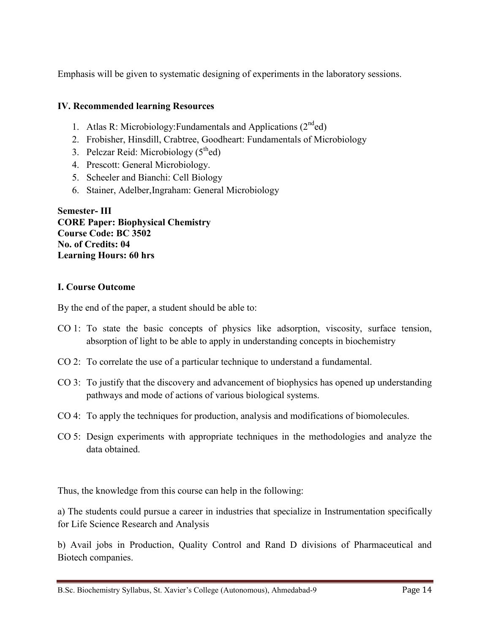Emphasis will be given to systematic designing of experiments in the laboratory sessions.

# **IV. Recommended learning Resources**

- 1. Atlas R: Microbiology: Fundamentals and Applications  $(2^{nd}$ ed)
- 2. Frobisher, Hinsdill, Crabtree, Goodheart: Fundamentals of Microbiology
- 3. Pelczar Reid: Microbiology  $(5<sup>th</sup>ed)$
- 4. Prescott: General Microbiology.
- 5. Scheeler and Bianchi: Cell Biology
- 6. Stainer, Adelber,Ingraham: General Microbiology

**Semester- III CORE Paper: Biophysical Chemistry Course Code: BC 3502 No. of Credits: 04 Learning Hours: 60 hrs**

# **I. Course Outcome**

By the end of the paper, a student should be able to:

- CO 1: To state the basic concepts of physics like adsorption, viscosity, surface tension, absorption of light to be able to apply in understanding concepts in biochemistry
- CO 2: To correlate the use of a particular technique to understand a fundamental.
- CO 3: To justify that the discovery and advancement of biophysics has opened up understanding pathways and mode of actions of various biological systems.
- CO 4: To apply the techniques for production, analysis and modifications of biomolecules.
- CO 5: Design experiments with appropriate techniques in the methodologies and analyze the data obtained.

Thus, the knowledge from this course can help in the following:

a) The students could pursue a career in industries that specialize in Instrumentation specifically for Life Science Research and Analysis

b) Avail jobs in Production, Quality Control and Rand D divisions of Pharmaceutical and Biotech companies.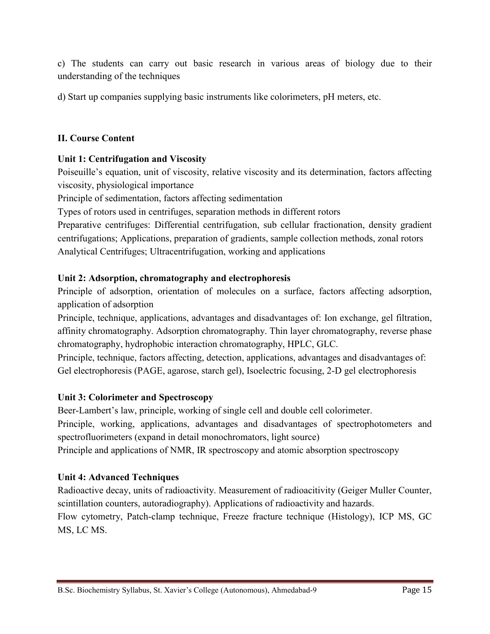c) The students can carry out basic research in various areas of biology due to their understanding of the techniques

d) Start up companies supplying basic instruments like colorimeters, pH meters, etc.

# **II. Course Content**

# **Unit 1: Centrifugation and Viscosity**

Poiseuille's equation, unit of viscosity, relative viscosity and its determination, factors affecting viscosity, physiological importance

Principle of sedimentation, factors affecting sedimentation

Types of rotors used in centrifuges, separation methods in different rotors

Preparative centrifuges: Differential centrifugation, sub cellular fractionation, density gradient centrifugations; Applications, preparation of gradients, sample collection methods, zonal rotors Analytical Centrifuges; Ultracentrifugation, working and applications

# **Unit 2: Adsorption, chromatography and electrophoresis**

Principle of adsorption, orientation of molecules on a surface, factors affecting adsorption, application of adsorption

Principle, technique, applications, advantages and disadvantages of: Ion exchange, gel filtration, affinity chromatography. Adsorption chromatography. Thin layer chromatography, reverse phase chromatography, hydrophobic interaction chromatography, HPLC, GLC.

Principle, technique, factors affecting, detection, applications, advantages and disadvantages of: Gel electrophoresis (PAGE, agarose, starch gel), Isoelectric focusing, 2-D gel electrophoresis

# **Unit 3: Colorimeter and Spectroscopy**

Beer-Lambert's law, principle, working of single cell and double cell colorimeter. Principle, working, applications, advantages and disadvantages of spectrophotometers and spectrofluorimeters (expand in detail monochromators, light source) Principle and applications of NMR, IR spectroscopy and atomic absorption spectroscopy

## **Unit 4: Advanced Techniques**

Radioactive decay, units of radioactivity. Measurement of radioacitivity (Geiger Muller Counter, scintillation counters, autoradiography). Applications of radioactivity and hazards. Flow cytometry, Patch-clamp technique, Freeze fracture technique (Histology), ICP MS, GC MS, LC MS.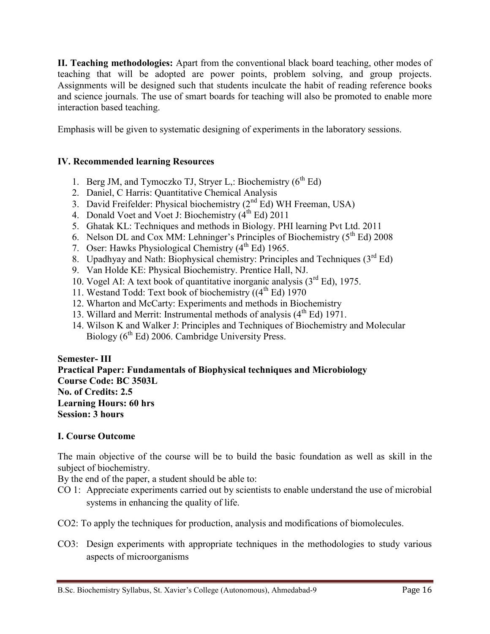**II. Teaching methodologies:** Apart from the conventional black board teaching, other modes of teaching that will be adopted are power points, problem solving, and group projects. Assignments will be designed such that students inculcate the habit of reading reference books and science journals. The use of smart boards for teaching will also be promoted to enable more interaction based teaching.

Emphasis will be given to systematic designing of experiments in the laboratory sessions.

# **IV. Recommended learning Resources**

- 1. Berg JM, and Tymoczko TJ, Stryer L,: Biochemistry  $(6<sup>th</sup> Ed)$
- 2. Daniel, C Harris: Quantitative Chemical Analysis
- 3. David Freifelder: Physical biochemistry  $(2^{nd}$  Ed) WH Freeman, USA)
- 4. Donald Voet and Voet J: Biochemistry  $(4^{th}$  Ed) 2011
- 5. Ghatak KL: Techniques and methods in Biology. PHI learning Pvt Ltd. 2011
- 6. Nelson DL and Cox MM: Lehninger's Principles of Biochemistry ( $5<sup>th</sup> Ed$ ) 2008
- 7. Oser: Hawks Physiological Chemistry  $(4<sup>th</sup> Ed)$  1965.
- 8. Upadhyay and Nath: Biophysical chemistry: Principles and Techniques  $(3<sup>rd</sup> Ed)$
- 9. Van Holde KE: Physical Biochemistry. Prentice Hall, NJ.
- 10. Vogel AI: A text book of quantitative inorganic analysis  $(3<sup>rd</sup> Ed)$ , 1975.
- 11. Westand Todd: Text book of biochemistry  $((4<sup>th</sup> Ed) 1970)$
- 12. Wharton and McCarty: Experiments and methods in Biochemistry
- 13. Willard and Merrit: Instrumental methods of analysis  $(4<sup>th</sup> Ed)$  1971.
- 14. Wilson K and Walker J: Principles and Techniques of Biochemistry and Molecular Biology  $(6^{th}$  Ed) 2006. Cambridge University Press.

**Semester- III Practical Paper: Fundamentals of Biophysical techniques and Microbiology Course Code: BC 3503L No. of Credits: 2.5 Learning Hours: 60 hrs Session: 3 hours**

## **I. Course Outcome**

The main objective of the course will be to build the basic foundation as well as skill in the subject of biochemistry.

By the end of the paper, a student should be able to:

- CO 1: Appreciate experiments carried out by scientists to enable understand the use of microbial systems in enhancing the quality of life.
- CO2: To apply the techniques for production, analysis and modifications of biomolecules.
- CO3: Design experiments with appropriate techniques in the methodologies to study various aspects of microorganisms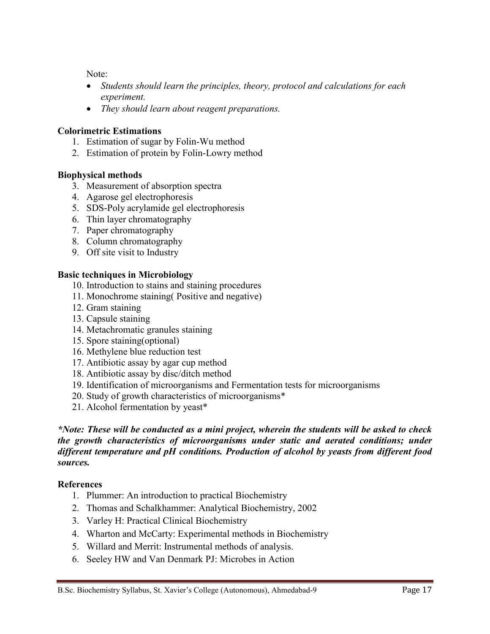Note:

- *Students should learn the principles, theory, protocol and calculations for each experiment.*
- *They should learn about reagent preparations.*

## **Colorimetric Estimations**

- 1. Estimation of sugar by Folin-Wu method
- 2. Estimation of protein by Folin-Lowry method

## **Biophysical methods**

- 3. Measurement of absorption spectra
- 4. Agarose gel electrophoresis
- 5. SDS-Poly acrylamide gel electrophoresis
- 6. Thin layer chromatography
- 7. Paper chromatography
- 8. Column chromatography
- 9. Off site visit to Industry

## **Basic techniques in Microbiology**

- 10. Introduction to stains and staining procedures
- 11. Monochrome staining( Positive and negative)
- 12. Gram staining
- 13. Capsule staining
- 14. Metachromatic granules staining
- 15. Spore staining(optional)
- 16. Methylene blue reduction test
- 17. Antibiotic assay by agar cup method
- 18. Antibiotic assay by disc/ditch method
- 19. Identification of microorganisms and Fermentation tests for microorganisms
- 20. Study of growth characteristics of microorganisms\*
- 21. Alcohol fermentation by yeast\*

*\*Note: These will be conducted as a mini project, wherein the students will be asked to check the growth characteristics of microorganisms under static and aerated conditions; under different temperature and pH conditions. Production of alcohol by yeasts from different food sources.*

## **References**

- 1. Plummer: An introduction to practical Biochemistry
- 2. Thomas and Schalkhammer: Analytical Biochemistry, 2002
- 3. Varley H: Practical Clinical Biochemistry
- 4. Wharton and McCarty: Experimental methods in Biochemistry
- 5. Willard and Merrit: Instrumental methods of analysis.
- 6. Seeley HW and Van Denmark PJ: Microbes in Action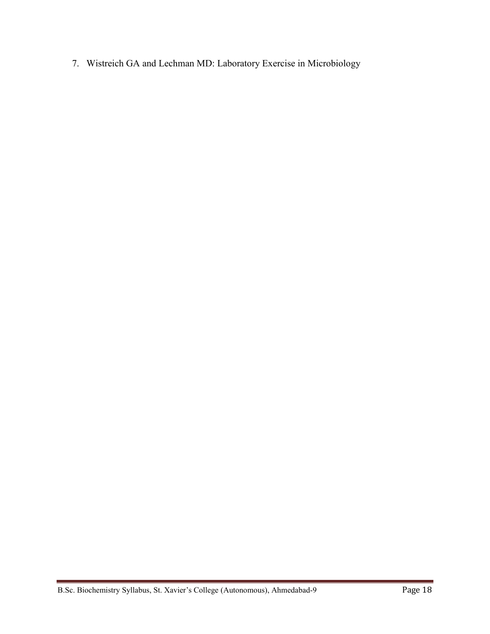7. Wistreich GA and Lechman MD: Laboratory Exercise in Microbiology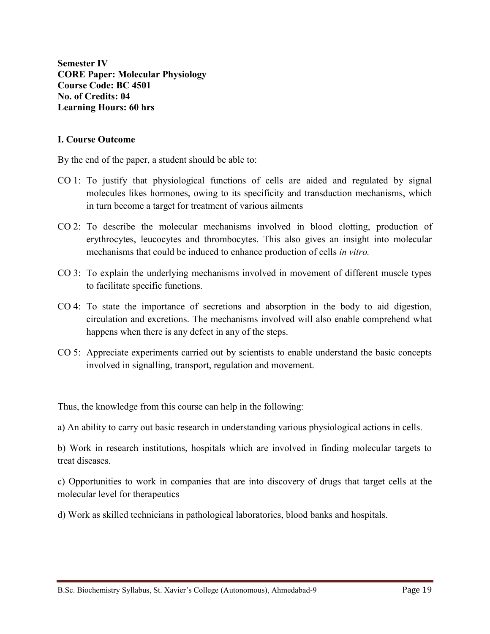**Semester IV CORE Paper: Molecular Physiology Course Code: BC 4501 No. of Credits: 04 Learning Hours: 60 hrs**

#### **I. Course Outcome**

By the end of the paper, a student should be able to:

- CO 1: To justify that physiological functions of cells are aided and regulated by signal molecules likes hormones, owing to its specificity and transduction mechanisms, which in turn become a target for treatment of various ailments
- CO 2: To describe the molecular mechanisms involved in blood clotting, production of erythrocytes, leucocytes and thrombocytes. This also gives an insight into molecular mechanisms that could be induced to enhance production of cells *in vitro.*
- CO 3: To explain the underlying mechanisms involved in movement of different muscle types to facilitate specific functions.
- CO 4: To state the importance of secretions and absorption in the body to aid digestion, circulation and excretions. The mechanisms involved will also enable comprehend what happens when there is any defect in any of the steps.
- CO 5: Appreciate experiments carried out by scientists to enable understand the basic concepts involved in signalling, transport, regulation and movement.

Thus, the knowledge from this course can help in the following:

a) An ability to carry out basic research in understanding various physiological actions in cells.

b) Work in research institutions, hospitals which are involved in finding molecular targets to treat diseases.

c) Opportunities to work in companies that are into discovery of drugs that target cells at the molecular level for therapeutics

d) Work as skilled technicians in pathological laboratories, blood banks and hospitals.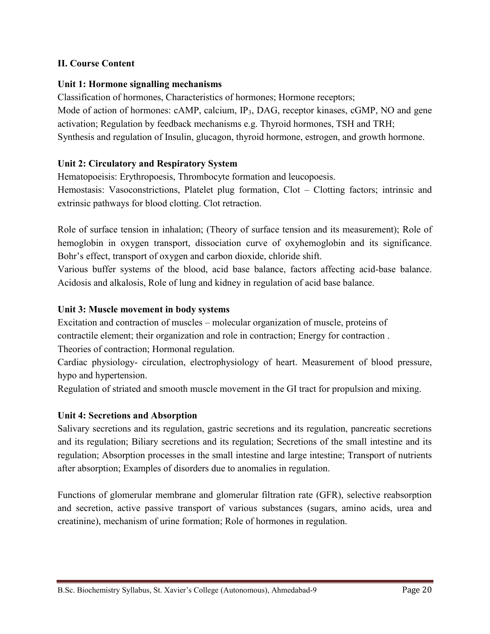# **II. Course Content**

## **Unit 1: Hormone signalling mechanisms**

Classification of hormones, Characteristics of hormones; Hormone receptors; Mode of action of hormones: cAMP, calcium, IP<sub>3</sub>, DAG, receptor kinases, cGMP, NO and gene activation; Regulation by feedback mechanisms e.g. Thyroid hormones, TSH and TRH; Synthesis and regulation of Insulin, glucagon, thyroid hormone, estrogen, and growth hormone.

# **Unit 2: Circulatory and Respiratory System**

Hematopoeisis: Erythropoesis, Thrombocyte formation and leucopoesis.

Hemostasis: Vasoconstrictions, Platelet plug formation, Clot – Clotting factors; intrinsic and extrinsic pathways for blood clotting. Clot retraction.

Role of surface tension in inhalation; (Theory of surface tension and its measurement); Role of hemoglobin in oxygen transport, dissociation curve of oxyhemoglobin and its significance. Bohr's effect, transport of oxygen and carbon dioxide, chloride shift.

Various buffer systems of the blood, acid base balance, factors affecting acid-base balance. Acidosis and alkalosis, Role of lung and kidney in regulation of acid base balance.

## **Unit 3: Muscle movement in body systems**

Excitation and contraction of muscles – molecular organization of muscle, proteins of contractile element; their organization and role in contraction; Energy for contraction . Theories of contraction; Hormonal regulation.

Cardiac physiology- circulation, electrophysiology of heart. Measurement of blood pressure, hypo and hypertension.

Regulation of striated and smooth muscle movement in the GI tract for propulsion and mixing.

## **Unit 4: Secretions and Absorption**

Salivary secretions and its regulation, gastric secretions and its regulation, pancreatic secretions and its regulation; Biliary secretions and its regulation; Secretions of the small intestine and its regulation; Absorption processes in the small intestine and large intestine; Transport of nutrients after absorption; Examples of disorders due to anomalies in regulation.

Functions of glomerular membrane and glomerular filtration rate (GFR), selective reabsorption and secretion, active passive transport of various substances (sugars, amino acids, urea and creatinine), mechanism of urine formation; Role of hormones in regulation.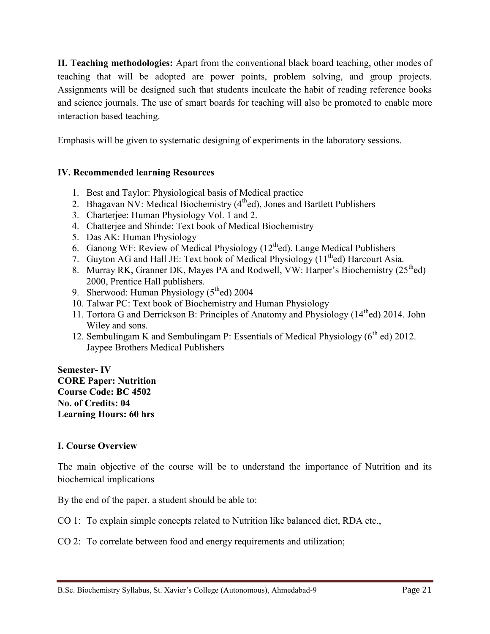**II. Teaching methodologies:** Apart from the conventional black board teaching, other modes of teaching that will be adopted are power points, problem solving, and group projects. Assignments will be designed such that students inculcate the habit of reading reference books and science journals. The use of smart boards for teaching will also be promoted to enable more interaction based teaching.

Emphasis will be given to systematic designing of experiments in the laboratory sessions.

# **IV. Recommended learning Resources**

- 1. Best and Taylor: Physiological basis of Medical practice
- 2. Bhagavan NV: Medical Biochemistry  $(4^{th}ed)$ , Jones and Bartlett Publishers
- 3. Charterjee: Human Physiology Vol. 1 and 2.
- 4. Chatterjee and Shinde: Text book of Medical Biochemistry
- 5. Das AK: Human Physiology
- 6. Ganong WF: Review of Medical Physiology  $(12<sup>th</sup>ed)$ . Lange Medical Publishers
- 7. Guyton AG and Hall JE: Text book of Medical Physiology  $(11<sup>th</sup>$ ed) Harcourt Asia.
- 8. Murray RK, Granner DK, Mayes PA and Rodwell, VW: Harper's Biochemistry (25<sup>th</sup>ed) 2000, Prentice Hall publishers.
- 9. Sherwood: Human Physiology  $(5<sup>th</sup>ed)$  2004
- 10. Talwar PC: Text book of Biochemistry and Human Physiology
- 11. Tortora G and Derrickson B: Principles of Anatomy and Physiology (14<sup>th</sup>ed) 2014. John Wiley and sons.
- 12. Sembulingam K and Sembulingam P: Essentials of Medical Physiology  $(6^{th}$  ed) 2012. Jaypee Brothers Medical Publishers

**Semester- IV CORE Paper: Nutrition Course Code: BC 4502 No. of Credits: 04 Learning Hours: 60 hrs**

## **I. Course Overview**

The main objective of the course will be to understand the importance of Nutrition and its biochemical implications

By the end of the paper, a student should be able to:

CO 1: To explain simple concepts related to Nutrition like balanced diet, RDA etc.,

CO 2: To correlate between food and energy requirements and utilization;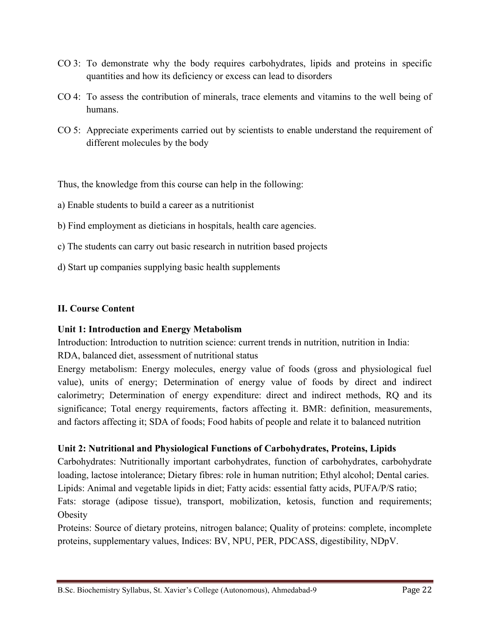- CO 3: To demonstrate why the body requires carbohydrates, lipids and proteins in specific quantities and how its deficiency or excess can lead to disorders
- CO 4: To assess the contribution of minerals, trace elements and vitamins to the well being of humans.
- CO 5: Appreciate experiments carried out by scientists to enable understand the requirement of different molecules by the body

Thus, the knowledge from this course can help in the following:

- a) Enable students to build a career as a nutritionist
- b) Find employment as dieticians in hospitals, health care agencies.
- c) The students can carry out basic research in nutrition based projects
- d) Start up companies supplying basic health supplements

## **II. Course Content**

## **Unit 1: Introduction and Energy Metabolism**

Introduction: Introduction to nutrition science: current trends in nutrition, nutrition in India:

RDA, balanced diet, assessment of nutritional status

Energy metabolism: Energy molecules, energy value of foods (gross and physiological fuel value), units of energy; Determination of energy value of foods by direct and indirect calorimetry; Determination of energy expenditure: direct and indirect methods, RQ and its significance; Total energy requirements, factors affecting it. BMR: definition, measurements, and factors affecting it; SDA of foods; Food habits of people and relate it to balanced nutrition

## **Unit 2: Nutritional and Physiological Functions of Carbohydrates, Proteins, Lipids**

Carbohydrates: Nutritionally important carbohydrates, function of carbohydrates, carbohydrate loading, lactose intolerance; Dietary fibres: role in human nutrition; Ethyl alcohol; Dental caries. Lipids: Animal and vegetable lipids in diet; Fatty acids: essential fatty acids, PUFA/P/S ratio; Fats: storage (adipose tissue), transport, mobilization, ketosis, function and requirements; **Obesity** 

Proteins: Source of dietary proteins, nitrogen balance; Quality of proteins: complete, incomplete proteins, supplementary values, Indices: BV, NPU, PER, PDCASS, digestibility, NDpV.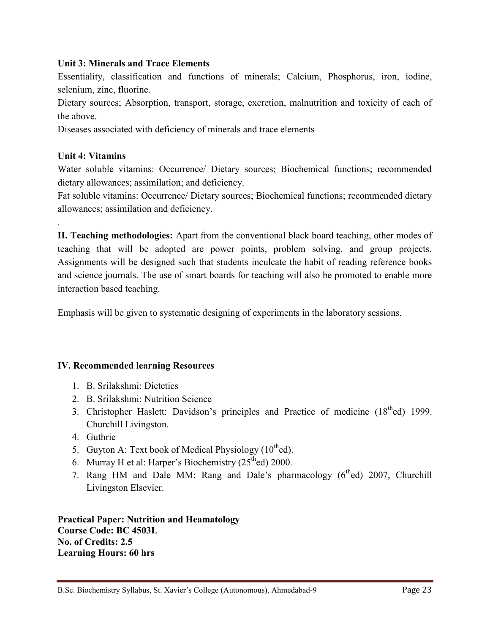## **Unit 3: Minerals and Trace Elements**

Essentiality, classification and functions of minerals; Calcium, Phosphorus, iron, iodine, selenium, zinc, fluorine.

Dietary sources; Absorption, transport, storage, excretion, malnutrition and toxicity of each of the above.

Diseases associated with deficiency of minerals and trace elements

## **Unit 4: Vitamins**

.

Water soluble vitamins: Occurrence/ Dietary sources; Biochemical functions; recommended dietary allowances; assimilation; and deficiency.

Fat soluble vitamins: Occurrence/ Dietary sources; Biochemical functions; recommended dietary allowances; assimilation and deficiency.

**II. Teaching methodologies:** Apart from the conventional black board teaching, other modes of teaching that will be adopted are power points, problem solving, and group projects. Assignments will be designed such that students inculcate the habit of reading reference books and science journals. The use of smart boards for teaching will also be promoted to enable more interaction based teaching.

Emphasis will be given to systematic designing of experiments in the laboratory sessions.

## **IV. Recommended learning Resources**

- 1. B. Srilakshmi: Dietetics
- 2. B. Srilakshmi: Nutrition Science
- 3. Christopher Haslett: Davidson's principles and Practice of medicine (18<sup>th</sup>ed) 1999. Churchill Livingston.
- 4. Guthrie
- 5. Guyton A: Text book of Medical Physiology  $(10^{th}$ ed).
- 6. Murray H et al: Harper's Biochemistry  $(25<sup>th</sup>ed)$  2000.
- 7. Rang HM and Dale MM: Rang and Dale's pharmacology (6<sup>th</sup>ed) 2007, Churchill Livingston Elsevier.

**Practical Paper: Nutrition and Heamatology Course Code: BC 4503L No. of Credits: 2.5 Learning Hours: 60 hrs**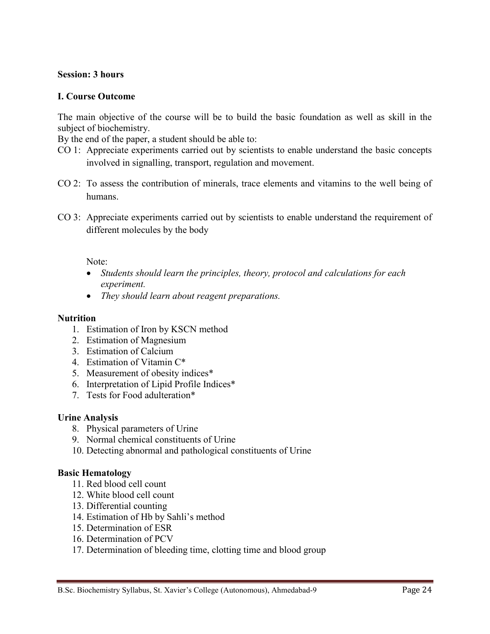#### **Session: 3 hours**

#### **I. Course Outcome**

The main objective of the course will be to build the basic foundation as well as skill in the subject of biochemistry.

By the end of the paper, a student should be able to:

- CO 1: Appreciate experiments carried out by scientists to enable understand the basic concepts involved in signalling, transport, regulation and movement.
- CO 2: To assess the contribution of minerals, trace elements and vitamins to the well being of humans.
- CO 3: Appreciate experiments carried out by scientists to enable understand the requirement of different molecules by the body

#### Note:

- *Students should learn the principles, theory, protocol and calculations for each experiment.*
- *They should learn about reagent preparations.*

#### **Nutrition**

- 1. Estimation of Iron by KSCN method
- 2. Estimation of Magnesium
- 3. Estimation of Calcium
- 4. Estimation of Vitamin C\*
- 5. Measurement of obesity indices\*
- 6. Interpretation of Lipid Profile Indices\*
- 7. Tests for Food adulteration\*

#### **Urine Analysis**

- 8. Physical parameters of Urine
- 9. Normal chemical constituents of Urine
- 10. Detecting abnormal and pathological constituents of Urine

#### **Basic Hematology**

- 11. Red blood cell count
- 12. White blood cell count
- 13. Differential counting
- 14. Estimation of Hb by Sahli's method
- 15. Determination of ESR
- 16. Determination of PCV
- 17. Determination of bleeding time, clotting time and blood group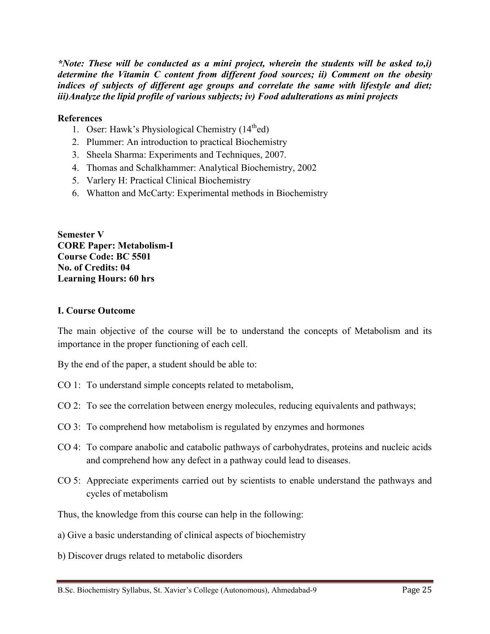*\*Note: These will be conducted as a mini project, wherein the students will be asked to,i) determine the Vitamin C content from different food sources; ii) Comment on the obesity indices of subjects of different age groups and correlate the same with lifestyle and diet; iii)Analyze the lipid profile of various subjects; iv) Food adulterations as mini projects*

#### **References**

- 1. Oser: Hawk's Physiological Chemistry  $(14<sup>th</sup>ed)$
- 2. Plummer: An introduction to practical Biochemistry
- 3. Sheela Sharma: Experiments and Techniques, 2007.
- 4. Thomas and Schalkhammer: Analytical Biochemistry, 2002
- 5. Varlery H: Practical Clinical Biochemistry
- 6. Whatton and McCarty: Experimental methods in Biochemistry

**Semester V CORE Paper: Metabolism-I Course Code: BC 5501 No. of Credits: 04 Learning Hours: 60 hrs**

#### **I. Course Outcome**

The main objective of the course will be to understand the concepts of Metabolism and its importance in the proper functioning of each cell.

By the end of the paper, a student should be able to:

- CO 1: To understand simple concepts related to metabolism,
- CO 2: To see the correlation between energy molecules, reducing equivalents and pathways;
- CO 3: To comprehend how metabolism is regulated by enzymes and hormones
- CO 4: To compare anabolic and catabolic pathways of carbohydrates, proteins and nucleic acids and comprehend how any defect in a pathway could lead to diseases.
- CO 5: Appreciate experiments carried out by scientists to enable understand the pathways and cycles of metabolism

Thus, the knowledge from this course can help in the following:

a) Give a basic understanding of clinical aspects of biochemistry

b) Discover drugs related to metabolic disorders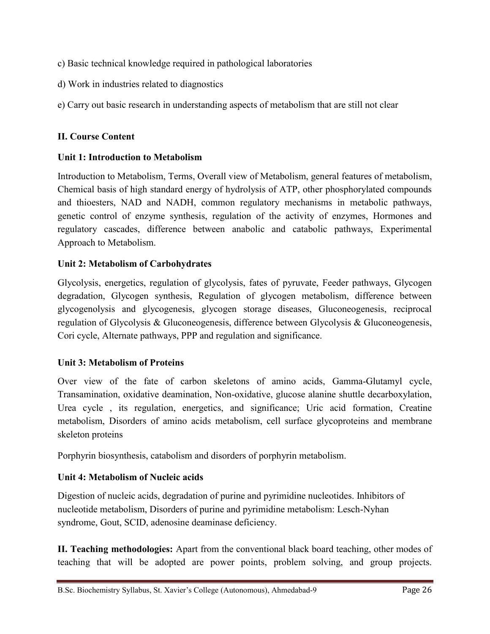- c) Basic technical knowledge required in pathological laboratories
- d) Work in industries related to diagnostics
- e) Carry out basic research in understanding aspects of metabolism that are still not clear

# **II. Course Content**

## **Unit 1: Introduction to Metabolism**

Introduction to Metabolism, Terms, Overall view of Metabolism, general features of metabolism, Chemical basis of high standard energy of hydrolysis of ATP, other phosphorylated compounds and thioesters, NAD and NADH, common regulatory mechanisms in metabolic pathways, genetic control of enzyme synthesis, regulation of the activity of enzymes, Hormones and regulatory cascades, difference between anabolic and catabolic pathways, Experimental Approach to Metabolism.

## **Unit 2: Metabolism of Carbohydrates**

Glycolysis, energetics, regulation of glycolysis, fates of pyruvate, Feeder pathways, Glycogen degradation, Glycogen synthesis, Regulation of glycogen metabolism, difference between glycogenolysis and glycogenesis, glycogen storage diseases, Gluconeogenesis, reciprocal regulation of Glycolysis & Gluconeogenesis, difference between Glycolysis & Gluconeogenesis, Cori cycle, Alternate pathways, PPP and regulation and significance.

## **Unit 3: Metabolism of Proteins**

Over view of the fate of carbon skeletons of amino acids, Gamma-Glutamyl cycle, Transamination, oxidative deamination, Non-oxidative, glucose alanine shuttle decarboxylation, Urea cycle , its regulation, energetics, and significance; Uric acid formation, Creatine metabolism, Disorders of amino acids metabolism, cell surface glycoproteins and membrane skeleton proteins

Porphyrin biosynthesis, catabolism and disorders of porphyrin metabolism.

## **Unit 4: Metabolism of Nucleic acids**

Digestion of nucleic acids, degradation of purine and pyrimidine nucleotides. Inhibitors of nucleotide metabolism, Disorders of purine and pyrimidine metabolism: Lesch-Nyhan syndrome, Gout, SCID, adenosine deaminase deficiency.

**II. Teaching methodologies:** Apart from the conventional black board teaching, other modes of teaching that will be adopted are power points, problem solving, and group projects.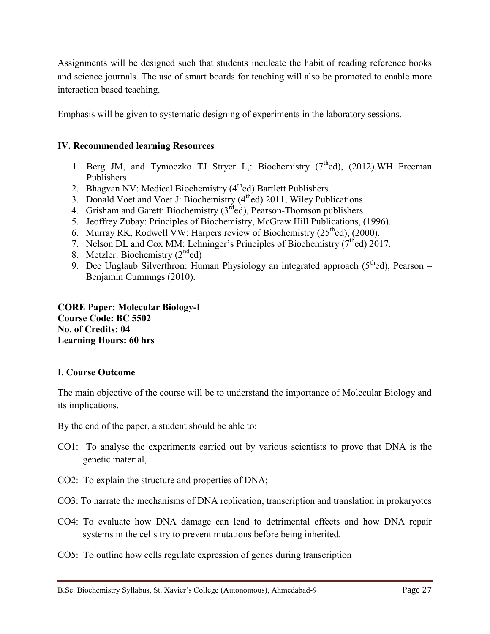Assignments will be designed such that students inculcate the habit of reading reference books and science journals. The use of smart boards for teaching will also be promoted to enable more interaction based teaching.

Emphasis will be given to systematic designing of experiments in the laboratory sessions.

## **IV. Recommended learning Resources**

- 1. Berg JM, and Tymoczko TJ Stryer L,: Biochemistry  $(7<sup>th</sup>ed)$ ,  $(2012)$ .WH Freeman Publishers
- 2. Bhagvan NV: Medical Biochemistry (4<sup>th</sup>ed) Bartlett Publishers.
- 3. Donald Voet and Voet J: Biochemistry (4<sup>th</sup>ed) 2011, Wiley Publications.
- 4. Grisham and Garett: Biochemistry  $(3<sup>rd</sup>ed)$ , Pearson-Thomson publishers
- 5. Jeoffrey Zubay: Principles of Biochemistry, McGraw Hill Publications, (1996).
- 6. Murray RK, Rodwell VW: Harpers review of Biochemistry  $(25<sup>th</sup>ed)$ ,  $(2000)$ .
- 7. Nelson DL and Cox MM: Lehninger's Principles of Biochemistry ( $7<sup>th</sup>$ ed) 2017.
- 8. Metzler: Biochemistry  $(2<sup>nd</sup>ed)$
- 9. Dee Unglaub Silverthron: Human Physiology an integrated approach  $(5<sup>th</sup>ed)$ , Pearson Benjamin Cummngs (2010).

**CORE Paper: Molecular Biology-I Course Code: BC 5502 No. of Credits: 04 Learning Hours: 60 hrs**

## **I. Course Outcome**

The main objective of the course will be to understand the importance of Molecular Biology and its implications.

By the end of the paper, a student should be able to:

- CO1: To analyse the experiments carried out by various scientists to prove that DNA is the genetic material,
- CO2: To explain the structure and properties of DNA;
- CO3: To narrate the mechanisms of DNA replication, transcription and translation in prokaryotes
- CO4: To evaluate how DNA damage can lead to detrimental effects and how DNA repair systems in the cells try to prevent mutations before being inherited.
- CO5: To outline how cells regulate expression of genes during transcription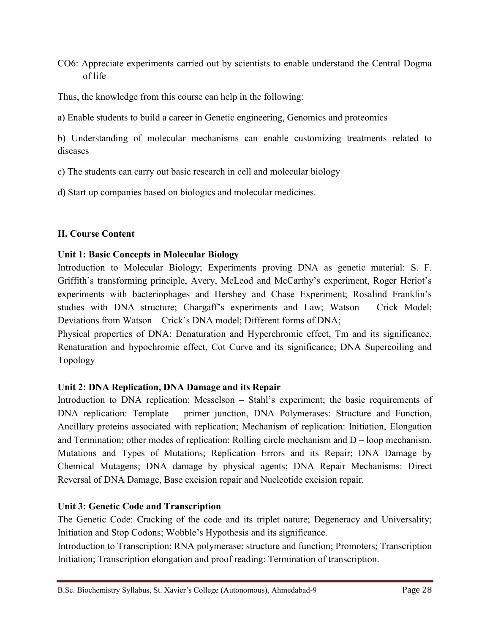CO6: Appreciate experiments carried out by scientists to enable understand the Central Dogma of life

Thus, the knowledge from this course can help in the following:

a) Enable students to build a career in Genetic engineering, Genomics and proteomics

b) Understanding of molecular mechanisms can enable customizing treatments related to diseases

c) The students can carry out basic research in cell and molecular biology

d) Start up companies based on biologics and molecular medicines.

# **II. Course Content**

# **Unit 1: Basic Concepts in Molecular Biology**

Introduction to Molecular Biology; Experiments proving DNA as genetic material: S. F. Griffith's transforming principle, Avery, McLeod and McCarthy's experiment, Roger Heriot's experiments with bacteriophages and Hershey and Chase Experiment; Rosalind Franklin's studies with DNA structure; Chargaff's experiments and Law; Watson – Crick Model; Deviations from Watson – Crick's DNA model; Different forms of DNA;

Physical properties of DNA: Denaturation and Hyperchromic effect, Tm and its significance, Renaturation and hypochromic effect, Cot Curve and its significance; DNA Supercoiling and Topology

# **Unit 2: DNA Replication, DNA Damage and its Repair**

Introduction to DNA replication; Messelson – Stahl's experiment; the basic requirements of DNA replication: Template – primer junction, DNA Polymerases: Structure and Function, Ancillary proteins associated with replication; Mechanism of replication: Initiation, Elongation and Termination; other modes of replication: Rolling circle mechanism and D – loop mechanism. Mutations and Types of Mutations; Replication Errors and its Repair; DNA Damage by Chemical Mutagens; DNA damage by physical agents; DNA Repair Mechanisms: Direct Reversal of DNA Damage, Base excision repair and Nucleotide excision repair.

# **Unit 3: Genetic Code and Transcription**

The Genetic Code: Cracking of the code and its triplet nature; Degeneracy and Universality; Initiation and Stop Codons; Wobble's Hypothesis and its significance.

Introduction to Transcription; RNA polymerase: structure and function; Promoters; Transcription Initiation; Transcription elongation and proof reading: Termination of transcription.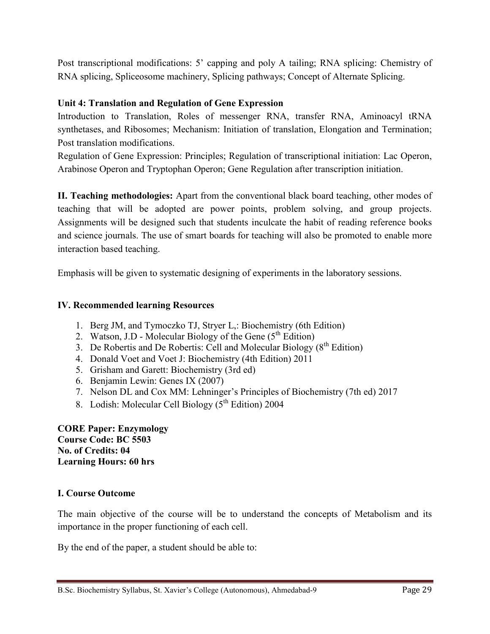Post transcriptional modifications: 5' capping and poly A tailing; RNA splicing: Chemistry of RNA splicing, Spliceosome machinery, Splicing pathways; Concept of Alternate Splicing.

# **Unit 4: Translation and Regulation of Gene Expression**

Introduction to Translation, Roles of messenger RNA, transfer RNA, Aminoacyl tRNA synthetases, and Ribosomes; Mechanism: Initiation of translation, Elongation and Termination; Post translation modifications.

Regulation of Gene Expression: Principles; Regulation of transcriptional initiation: Lac Operon, Arabinose Operon and Tryptophan Operon; Gene Regulation after transcription initiation.

**II. Teaching methodologies:** Apart from the conventional black board teaching, other modes of teaching that will be adopted are power points, problem solving, and group projects. Assignments will be designed such that students inculcate the habit of reading reference books and science journals. The use of smart boards for teaching will also be promoted to enable more interaction based teaching.

Emphasis will be given to systematic designing of experiments in the laboratory sessions.

# **IV. Recommended learning Resources**

- 1. Berg JM, and Tymoczko TJ, Stryer L,: Biochemistry (6th Edition)
- 2. Watson, J.D Molecular Biology of the Gene  $(5<sup>th</sup> Edition)$
- 3. De Robertis and De Robertis: Cell and Molecular Biology  $(8<sup>th</sup> Edition)$
- 4. Donald Voet and Voet J: Biochemistry (4th Edition) 2011
- 5. Grisham and Garett: Biochemistry (3rd ed)
- 6. Benjamin Lewin: Genes IX (2007)
- 7. Nelson DL and Cox MM: Lehninger's Principles of Biochemistry (7th ed) 2017
- 8. Lodish: Molecular Cell Biology  $(5^{th}$  Edition) 2004

**CORE Paper: Enzymology Course Code: BC 5503 No. of Credits: 04 Learning Hours: 60 hrs**

## **I. Course Outcome**

The main objective of the course will be to understand the concepts of Metabolism and its importance in the proper functioning of each cell.

By the end of the paper, a student should be able to: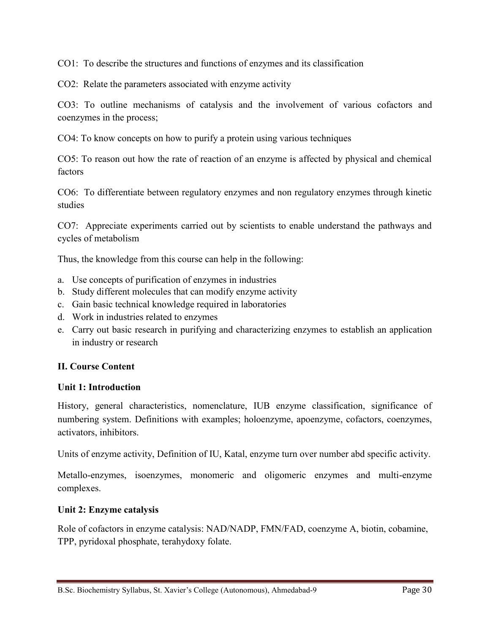CO1: To describe the structures and functions of enzymes and its classification

CO2: Relate the parameters associated with enzyme activity

CO3: To outline mechanisms of catalysis and the involvement of various cofactors and coenzymes in the process;

CO4: To know concepts on how to purify a protein using various techniques

CO5: To reason out how the rate of reaction of an enzyme is affected by physical and chemical factors

CO6: To differentiate between regulatory enzymes and non regulatory enzymes through kinetic studies

CO7: Appreciate experiments carried out by scientists to enable understand the pathways and cycles of metabolism

Thus, the knowledge from this course can help in the following:

- a. Use concepts of purification of enzymes in industries
- b. Study different molecules that can modify enzyme activity
- c. Gain basic technical knowledge required in laboratories
- d. Work in industries related to enzymes
- e. Carry out basic research in purifying and characterizing enzymes to establish an application in industry or research

## **II. Course Content**

## **Unit 1: Introduction**

History, general characteristics, nomenclature, IUB enzyme classification, significance of numbering system. Definitions with examples; holoenzyme, apoenzyme, cofactors, coenzymes, activators, inhibitors.

Units of enzyme activity, Definition of IU, Katal, enzyme turn over number abd specific activity.

Metallo-enzymes, isoenzymes, monomeric and oligomeric enzymes and multi-enzyme complexes.

## **Unit 2: Enzyme catalysis**

Role of cofactors in enzyme catalysis: NAD/NADP, FMN/FAD, coenzyme A, biotin, cobamine, TPP, pyridoxal phosphate, terahydoxy folate.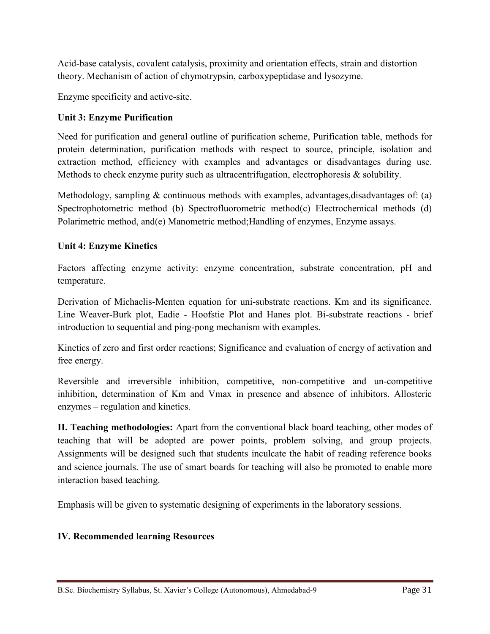Acid-base catalysis, covalent catalysis, proximity and orientation effects, strain and distortion theory. Mechanism of action of chymotrypsin, carboxypeptidase and lysozyme.

Enzyme specificity and active-site.

# **Unit 3: Enzyme Purification**

Need for purification and general outline of purification scheme, Purification table, methods for protein determination, purification methods with respect to source, principle, isolation and extraction method, efficiency with examples and advantages or disadvantages during use. Methods to check enzyme purity such as ultracentrifugation, electrophoresis & solubility.

Methodology, sampling  $&$  continuous methods with examples, advantages, disadvantages of: (a) Spectrophotometric method (b) Spectrofluorometric method(c) Electrochemical methods (d) Polarimetric method, and(e) Manometric method;Handling of enzymes, Enzyme assays.

# **Unit 4: Enzyme Kinetics**

Factors affecting enzyme activity: enzyme concentration, substrate concentration, pH and temperature.

Derivation of Michaelis-Menten equation for uni-substrate reactions. Km and its significance. Line Weaver-Burk plot, Eadie - Hoofstie Plot and Hanes plot. Bi-substrate reactions - brief introduction to sequential and ping-pong mechanism with examples.

Kinetics of zero and first order reactions; Significance and evaluation of energy of activation and free energy.

Reversible and irreversible inhibition, competitive, non-competitive and un-competitive inhibition, determination of Km and Vmax in presence and absence of inhibitors. Allosteric enzymes – regulation and kinetics.

**II. Teaching methodologies:** Apart from the conventional black board teaching, other modes of teaching that will be adopted are power points, problem solving, and group projects. Assignments will be designed such that students inculcate the habit of reading reference books and science journals. The use of smart boards for teaching will also be promoted to enable more interaction based teaching.

Emphasis will be given to systematic designing of experiments in the laboratory sessions.

# **IV. Recommended learning Resources**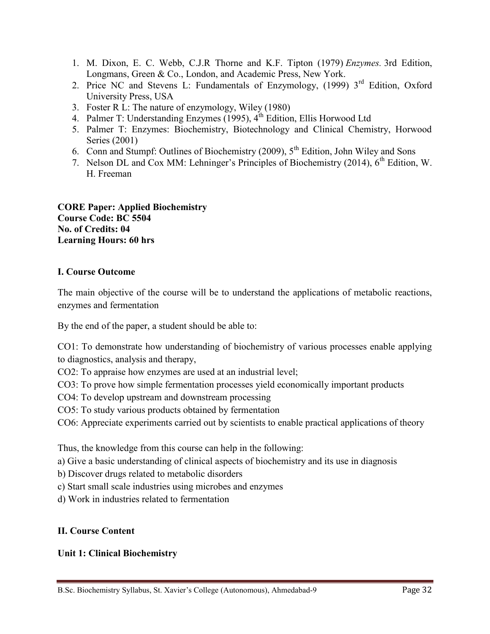- 1. M. Dixon, E. C. Webb, C.J.R Thorne and K.F. Tipton (1979) *Enzymes.* 3rd Edition, Longmans, Green & Co., London, and Academic Press, New York.
- 2. Price NC and Stevens L: Fundamentals of Enzymology, (1999) 3<sup>rd</sup> Edition, Oxford University Press, USA
- 3. Foster R L: The nature of enzymology, Wiley (1980)
- 4. Palmer T: Understanding Enzymes (1995),  $4<sup>th</sup>$  Edition, Ellis Horwood Ltd
- 5. Palmer T: Enzymes: Biochemistry, Biotechnology and Clinical Chemistry, Horwood Series (2001)
- 6. Conn and Stumpf: Outlines of Biochemistry (2009),  $5<sup>th</sup>$  Edition, John Wiley and Sons
- 7. Nelson DL and Cox MM: Lehninger's Principles of Biochemistry (2014), 6<sup>th</sup> Edition, W. H. Freeman

**CORE Paper: Applied Biochemistry Course Code: BC 5504 No. of Credits: 04 Learning Hours: 60 hrs**

# **I. Course Outcome**

The main objective of the course will be to understand the applications of metabolic reactions, enzymes and fermentation

By the end of the paper, a student should be able to:

CO1: To demonstrate how understanding of biochemistry of various processes enable applying to diagnostics, analysis and therapy,

CO2: To appraise how enzymes are used at an industrial level;

CO3: To prove how simple fermentation processes yield economically important products

CO4: To develop upstream and downstream processing

CO5: To study various products obtained by fermentation

CO6: Appreciate experiments carried out by scientists to enable practical applications of theory

Thus, the knowledge from this course can help in the following:

a) Give a basic understanding of clinical aspects of biochemistry and its use in diagnosis

b) Discover drugs related to metabolic disorders

c) Start small scale industries using microbes and enzymes

d) Work in industries related to fermentation

# **II. Course Content**

# **Unit 1: Clinical Biochemistry**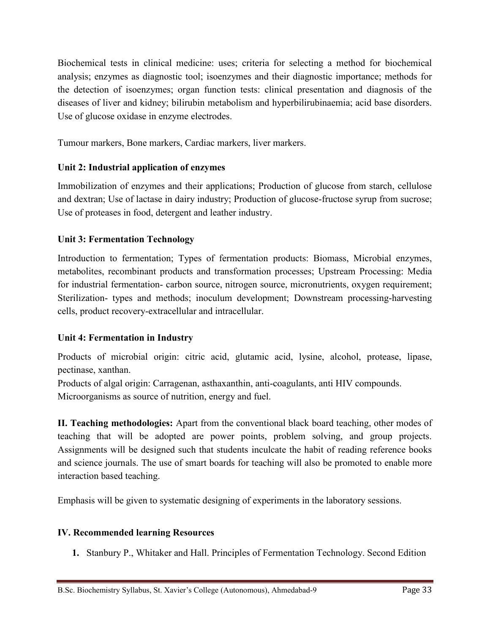Biochemical tests in clinical medicine: uses; criteria for selecting a method for biochemical analysis; enzymes as diagnostic tool; isoenzymes and their diagnostic importance; methods for the detection of isoenzymes; organ function tests: clinical presentation and diagnosis of the diseases of liver and kidney; bilirubin metabolism and hyperbilirubinaemia; acid base disorders. Use of glucose oxidase in enzyme electrodes.

Tumour markers, Bone markers, Cardiac markers, liver markers.

# **Unit 2: Industrial application of enzymes**

Immobilization of enzymes and their applications; Production of glucose from starch, cellulose and dextran; Use of lactase in dairy industry; Production of glucose-fructose syrup from sucrose; Use of proteases in food, detergent and leather industry.

# **Unit 3: Fermentation Technology**

Introduction to fermentation; Types of fermentation products: Biomass, Microbial enzymes, metabolites, recombinant products and transformation processes; Upstream Processing: Media for industrial fermentation- carbon source, nitrogen source, micronutrients, oxygen requirement; Sterilization- types and methods; inoculum development; Downstream processing-harvesting cells, product recovery-extracellular and intracellular.

# **Unit 4: Fermentation in Industry**

Products of microbial origin: citric acid, glutamic acid, lysine, alcohol, protease, lipase, pectinase, xanthan.

Products of algal origin: Carragenan, asthaxanthin, anti-coagulants, anti HIV compounds. Microorganisms as source of nutrition, energy and fuel.

**II. Teaching methodologies:** Apart from the conventional black board teaching, other modes of teaching that will be adopted are power points, problem solving, and group projects. Assignments will be designed such that students inculcate the habit of reading reference books and science journals. The use of smart boards for teaching will also be promoted to enable more interaction based teaching.

Emphasis will be given to systematic designing of experiments in the laboratory sessions.

# **IV. Recommended learning Resources**

**1.** Stanbury P., Whitaker and Hall. Principles of Fermentation Technology. Second Edition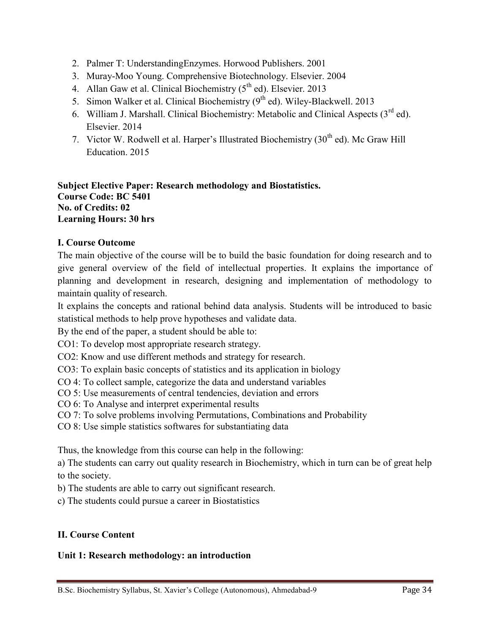- 2. Palmer T: UnderstandingEnzymes. Horwood Publishers. 2001
- 3. Muray-Moo Young. Comprehensive Biotechnology. Elsevier. 2004
- 4. Allan Gaw et al. Clinical Biochemistry  $(5<sup>th</sup>$  ed). Elsevier. 2013
- 5. Simon Walker et al. Clinical Biochemistry (9<sup>th</sup> ed). Wiley-Blackwell. 2013
- 6. William J. Marshall. Clinical Biochemistry: Metabolic and Clinical Aspects (3rd ed). Elsevier. 2014
- 7. Victor W. Rodwell et al. Harper's Illustrated Biochemistry  $(30<sup>th</sup>$  ed). Mc Graw Hill Education. 2015

**Subject Elective Paper: Research methodology and Biostatistics. Course Code: BC 5401 No. of Credits: 02 Learning Hours: 30 hrs**

# **I. Course Outcome**

The main objective of the course will be to build the basic foundation for doing research and to give general overview of the field of intellectual properties. It explains the importance of planning and development in research, designing and implementation of methodology to maintain quality of research.

It explains the concepts and rational behind data analysis. Students will be introduced to basic statistical methods to help prove hypotheses and validate data.

By the end of the paper, a student should be able to:

CO1: To develop most appropriate research strategy.

CO2: Know and use different methods and strategy for research.

CO3: To explain basic concepts of statistics and its application in biology

- CO 4: To collect sample, categorize the data and understand variables
- CO 5: Use measurements of central tendencies, deviation and errors
- CO 6: To Analyse and interpret experimental results

CO 7: To solve problems involving Permutations, Combinations and Probability

CO 8: Use simple statistics softwares for substantiating data

Thus, the knowledge from this course can help in the following:

a) The students can carry out quality research in Biochemistry, which in turn can be of great help to the society.

b) The students are able to carry out significant research.

c) The students could pursue a career in Biostatistics

# **II. Course Content**

## **Unit 1: Research methodology: an introduction**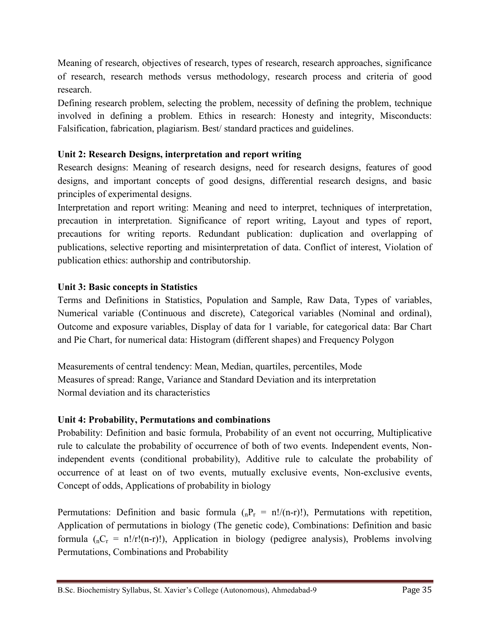Meaning of research, objectives of research, types of research, research approaches, significance of research, research methods versus methodology, research process and criteria of good research.

Defining research problem, selecting the problem, necessity of defining the problem, technique involved in defining a problem. Ethics in research: Honesty and integrity, Misconducts: Falsification, fabrication, plagiarism. Best/ standard practices and guidelines.

# **Unit 2: Research Designs, interpretation and report writing**

Research designs: Meaning of research designs, need for research designs, features of good designs, and important concepts of good designs, differential research designs, and basic principles of experimental designs.

Interpretation and report writing: Meaning and need to interpret, techniques of interpretation, precaution in interpretation. Significance of report writing, Layout and types of report, precautions for writing reports. Redundant publication: duplication and overlapping of publications, selective reporting and misinterpretation of data. Conflict of interest, Violation of publication ethics: authorship and contributorship.

# **Unit 3: Basic concepts in Statistics**

Terms and Definitions in Statistics, Population and Sample, Raw Data, Types of variables, Numerical variable (Continuous and discrete), Categorical variables (Nominal and ordinal), Outcome and exposure variables, Display of data for 1 variable, for categorical data: Bar Chart and Pie Chart, for numerical data: Histogram (different shapes) and Frequency Polygon

Measurements of central tendency: Mean, Median, quartiles, percentiles, Mode Measures of spread: Range, Variance and Standard Deviation and its interpretation Normal deviation and its characteristics

# **Unit 4: Probability, Permutations and combinations**

Probability: Definition and basic formula, Probability of an event not occurring, Multiplicative rule to calculate the probability of occurrence of both of two events. Independent events, Nonindependent events (conditional probability), Additive rule to calculate the probability of occurrence of at least on of two events, mutually exclusive events, Non-exclusive events, Concept of odds, Applications of probability in biology

Permutations: Definition and basic formula  $\binom{n}{n-r}$  = n!/(n-r)!), Permutations with repetition, Application of permutations in biology (The genetic code), Combinations: Definition and basic formula  $(nC_r = n!/r!(n-r)!)$ , Application in biology (pedigree analysis), Problems involving Permutations, Combinations and Probability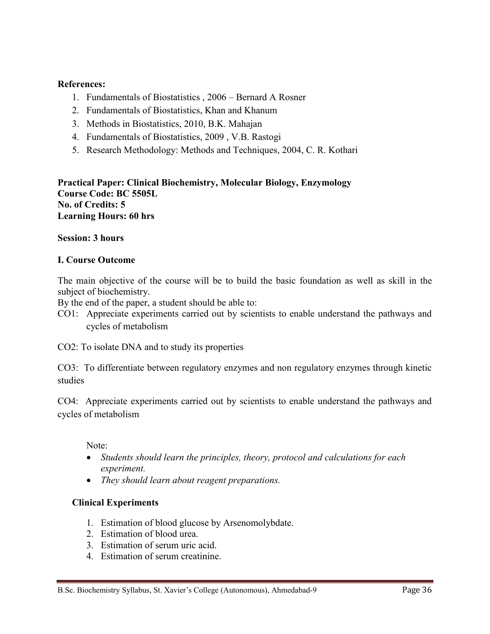#### **References:**

- 1. Fundamentals of Biostatistics , 2006 Bernard A Rosner
- 2. Fundamentals of Biostatistics, Khan and Khanum
- 3. Methods in Biostatistics, 2010, B.K. Mahajan
- 4. Fundamentals of Biostatistics, 2009 , V.B. Rastogi
- 5. Research Methodology: Methods and Techniques, 2004, C. R. Kothari

**Practical Paper: Clinical Biochemistry, Molecular Biology, Enzymology Course Code: BC 5505L No. of Credits: 5 Learning Hours: 60 hrs**

#### **Session: 3 hours**

#### **I. Course Outcome**

The main objective of the course will be to build the basic foundation as well as skill in the subject of biochemistry.

By the end of the paper, a student should be able to:

CO1: Appreciate experiments carried out by scientists to enable understand the pathways and cycles of metabolism

CO2: To isolate DNA and to study its properties

CO3: To differentiate between regulatory enzymes and non regulatory enzymes through kinetic studies

CO4: Appreciate experiments carried out by scientists to enable understand the pathways and cycles of metabolism

Note:

- *Students should learn the principles, theory, protocol and calculations for each experiment.*
- *They should learn about reagent preparations.*

#### **Clinical Experiments**

- 1. Estimation of blood glucose by Arsenomolybdate.
- 2. Estimation of blood urea.
- 3. Estimation of serum uric acid.
- 4. Estimation of serum creatinine.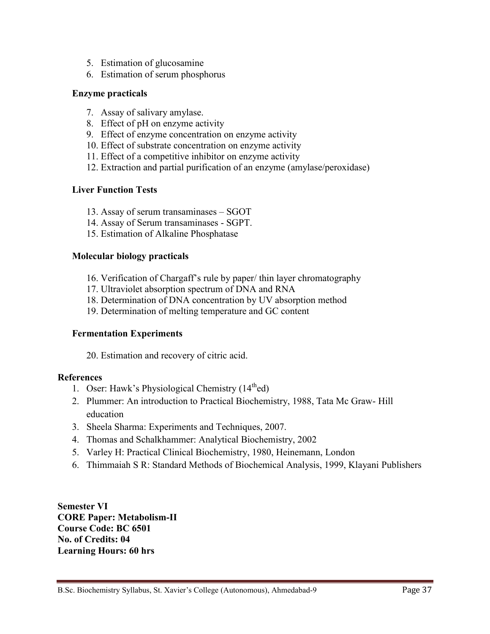- 5. Estimation of glucosamine
- 6. Estimation of serum phosphorus

#### **Enzyme practicals**

- 7. Assay of salivary amylase.
- 8. Effect of pH on enzyme activity
- 9. Effect of enzyme concentration on enzyme activity
- 10. Effect of substrate concentration on enzyme activity
- 11. Effect of a competitive inhibitor on enzyme activity
- 12. Extraction and partial purification of an enzyme (amylase/peroxidase)

#### **Liver Function Tests**

- 13. Assay of serum transaminases SGOT
- 14. Assay of Serum transaminases SGPT.
- 15. Estimation of Alkaline Phosphatase

#### **Molecular biology practicals**

- 16. Verification of Chargaff's rule by paper/ thin layer chromatography
- 17. Ultraviolet absorption spectrum of DNA and RNA
- 18. Determination of DNA concentration by UV absorption method
- 19. Determination of melting temperature and GC content

#### **Fermentation Experiments**

20. Estimation and recovery of citric acid.

#### **References**

- 1. Oser: Hawk's Physiological Chemistry  $(14<sup>th</sup>ed)$
- 2. Plummer: An introduction to Practical Biochemistry, 1988, Tata Mc Graw- Hill education
- 3. Sheela Sharma: Experiments and Techniques, 2007.
- 4. Thomas and Schalkhammer: Analytical Biochemistry, 2002
- 5. Varley H: Practical Clinical Biochemistry, 1980, Heinemann, London
- 6. Thimmaiah S R: Standard Methods of Biochemical Analysis, 1999, Klayani Publishers

**Semester VI CORE Paper: Metabolism-II Course Code: BC 6501 No. of Credits: 04 Learning Hours: 60 hrs**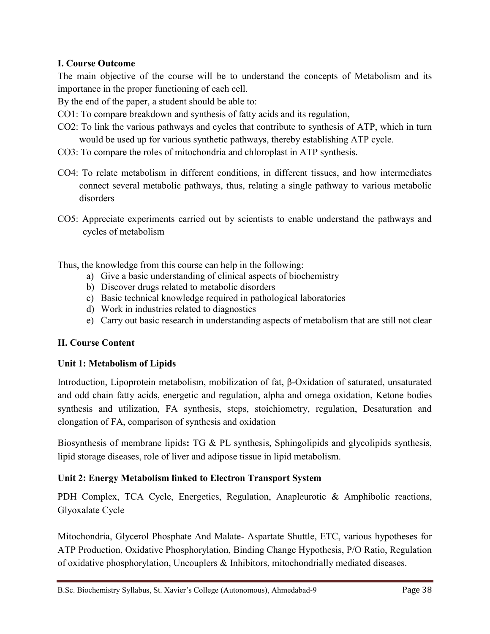# **I. Course Outcome**

The main objective of the course will be to understand the concepts of Metabolism and its importance in the proper functioning of each cell.

By the end of the paper, a student should be able to:

- CO1: To compare breakdown and synthesis of fatty acids and its regulation,
- CO2: To link the various pathways and cycles that contribute to synthesis of ATP, which in turn would be used up for various synthetic pathways, thereby establishing ATP cycle.
- CO3: To compare the roles of mitochondria and chloroplast in ATP synthesis.
- CO4: To relate metabolism in different conditions, in different tissues, and how intermediates connect several metabolic pathways, thus, relating a single pathway to various metabolic disorders
- CO5: Appreciate experiments carried out by scientists to enable understand the pathways and cycles of metabolism

Thus, the knowledge from this course can help in the following:

- a) Give a basic understanding of clinical aspects of biochemistry
- b) Discover drugs related to metabolic disorders
- c) Basic technical knowledge required in pathological laboratories
- d) Work in industries related to diagnostics
- e) Carry out basic research in understanding aspects of metabolism that are still not clear

# **II. Course Content**

## **Unit 1: Metabolism of Lipids**

Introduction, Lipoprotein metabolism, mobilization of fat, β-Oxidation of saturated, unsaturated and odd chain fatty acids, energetic and regulation, alpha and omega oxidation, Ketone bodies synthesis and utilization, FA synthesis, steps, stoichiometry, regulation, Desaturation and elongation of FA, comparison of synthesis and oxidation

Biosynthesis of membrane lipids**:** TG & PL synthesis, Sphingolipids and glycolipids synthesis, lipid storage diseases, role of liver and adipose tissue in lipid metabolism.

# **Unit 2: Energy Metabolism linked to Electron Transport System**

PDH Complex, TCA Cycle, Energetics, Regulation, Anapleurotic & Amphibolic reactions, Glyoxalate Cycle

Mitochondria, Glycerol Phosphate And Malate- Aspartate Shuttle, ETC, various hypotheses for ATP Production, Oxidative Phosphorylation, Binding Change Hypothesis, P/O Ratio, Regulation of oxidative phosphorylation, Uncouplers & Inhibitors, mitochondrially mediated diseases.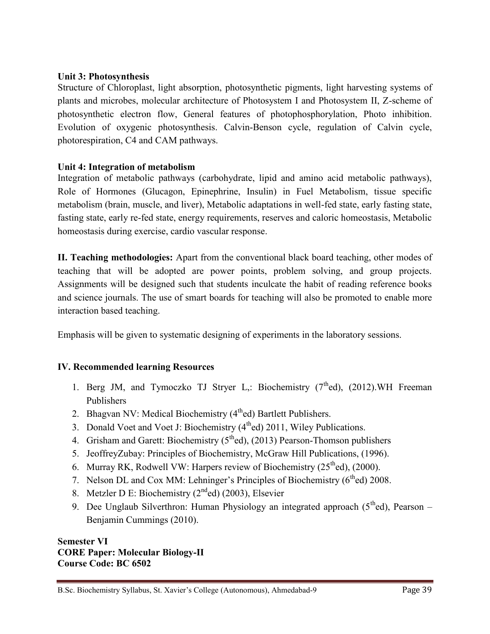#### **Unit 3: Photosynthesis**

Structure of Chloroplast, light absorption, photosynthetic pigments, light harvesting systems of plants and microbes, molecular architecture of Photosystem I and Photosystem II, Z-scheme of photosynthetic electron flow, General features of photophosphorylation, Photo inhibition. Evolution of oxygenic photosynthesis. Calvin-Benson cycle, regulation of Calvin cycle, photorespiration, C4 and CAM pathways.

#### **Unit 4: Integration of metabolism**

Integration of metabolic pathways (carbohydrate, lipid and amino acid metabolic pathways), Role of Hormones (Glucagon, Epinephrine, Insulin) in Fuel Metabolism, tissue specific metabolism (brain, muscle, and liver), Metabolic adaptations in well-fed state, early fasting state, fasting state, early re-fed state, energy requirements, reserves and caloric homeostasis, Metabolic homeostasis during exercise, cardio vascular response.

**II. Teaching methodologies:** Apart from the conventional black board teaching, other modes of teaching that will be adopted are power points, problem solving, and group projects. Assignments will be designed such that students inculcate the habit of reading reference books and science journals. The use of smart boards for teaching will also be promoted to enable more interaction based teaching.

Emphasis will be given to systematic designing of experiments in the laboratory sessions.

## **IV. Recommended learning Resources**

- 1. Berg JM, and Tymoczko TJ Stryer L,: Biochemistry  $(7<sup>th</sup>ed)$ ,  $(2012)$ .WH Freeman Publishers
- 2. Bhagvan NV: Medical Biochemistry (4<sup>th</sup>ed) Bartlett Publishers.
- 3. Donald Voet and Voet J: Biochemistry  $(4<sup>th</sup>ed)$  2011, Wiley Publications.
- 4. Grisham and Garett: Biochemistry  $(5<sup>th</sup>ed)$ ,  $(2013)$  Pearson-Thomson publishers
- 5. JeoffreyZubay: Principles of Biochemistry, McGraw Hill Publications, (1996).
- 6. Murray RK, Rodwell VW: Harpers review of Biochemistry  $(25<sup>th</sup>ed)$ ,  $(2000)$ .
- 7. Nelson DL and Cox MM: Lehninger's Principles of Biochemistry  $(6<sup>th</sup>ed)$  2008.
- 8. Metzler D E: Biochemistry  $(2<sup>nd</sup>ed)$  (2003), Elsevier
- 9. Dee Unglaub Silverthron: Human Physiology an integrated approach  $(5<sup>th</sup>ed)$ , Pearson Benjamin Cummings (2010).

**Semester VI CORE Paper: Molecular Biology-II Course Code: BC 6502**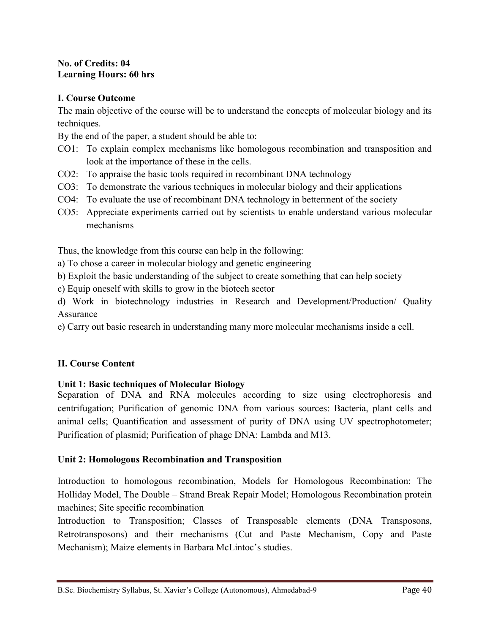#### **No. of Credits: 04 Learning Hours: 60 hrs**

## **I. Course Outcome**

The main objective of the course will be to understand the concepts of molecular biology and its techniques.

By the end of the paper, a student should be able to:

- CO1: To explain complex mechanisms like homologous recombination and transposition and look at the importance of these in the cells.
- CO2: To appraise the basic tools required in recombinant DNA technology
- CO3: To demonstrate the various techniques in molecular biology and their applications
- CO4: To evaluate the use of recombinant DNA technology in betterment of the society
- CO5: Appreciate experiments carried out by scientists to enable understand various molecular mechanisms

Thus, the knowledge from this course can help in the following:

- a) To chose a career in molecular biology and genetic engineering
- b) Exploit the basic understanding of the subject to create something that can help society
- c) Equip oneself with skills to grow in the biotech sector
- d) Work in biotechnology industries in Research and Development/Production/ Quality Assurance
- e) Carry out basic research in understanding many more molecular mechanisms inside a cell.

# **II. Course Content**

## **Unit 1: Basic techniques of Molecular Biology**

Separation of DNA and RNA molecules according to size using electrophoresis and centrifugation; Purification of genomic DNA from various sources: Bacteria, plant cells and animal cells; Quantification and assessment of purity of DNA using UV spectrophotometer; Purification of plasmid; Purification of phage DNA: Lambda and M13.

## **Unit 2: Homologous Recombination and Transposition**

Introduction to homologous recombination, Models for Homologous Recombination: The Holliday Model, The Double – Strand Break Repair Model; Homologous Recombination protein machines; Site specific recombination

Introduction to Transposition; Classes of Transposable elements (DNA Transposons, Retrotransposons) and their mechanisms (Cut and Paste Mechanism, Copy and Paste Mechanism); Maize elements in Barbara McLintoc's studies.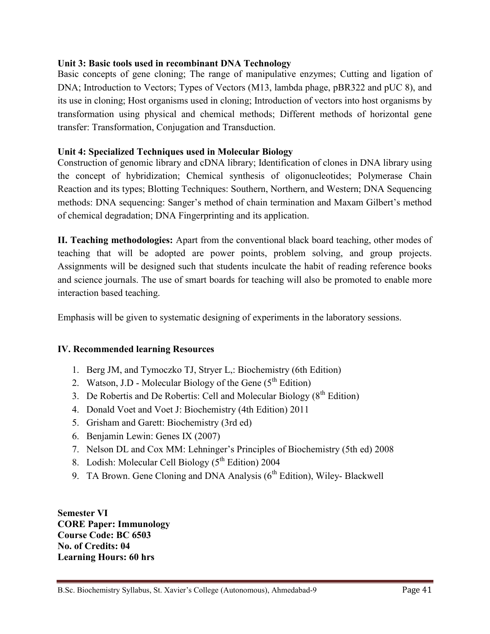#### **Unit 3: Basic tools used in recombinant DNA Technology**

Basic concepts of gene cloning; The range of manipulative enzymes; Cutting and ligation of DNA; Introduction to Vectors; Types of Vectors (M13, lambda phage, pBR322 and pUC 8), and its use in cloning; Host organisms used in cloning; Introduction of vectors into host organisms by transformation using physical and chemical methods; Different methods of horizontal gene transfer: Transformation, Conjugation and Transduction.

## **Unit 4: Specialized Techniques used in Molecular Biology**

Construction of genomic library and cDNA library; Identification of clones in DNA library using the concept of hybridization; Chemical synthesis of oligonucleotides; Polymerase Chain Reaction and its types; Blotting Techniques: Southern, Northern, and Western; DNA Sequencing methods: DNA sequencing: Sanger's method of chain termination and Maxam Gilbert's method of chemical degradation; DNA Fingerprinting and its application.

**II. Teaching methodologies:** Apart from the conventional black board teaching, other modes of teaching that will be adopted are power points, problem solving, and group projects. Assignments will be designed such that students inculcate the habit of reading reference books and science journals. The use of smart boards for teaching will also be promoted to enable more interaction based teaching.

Emphasis will be given to systematic designing of experiments in the laboratory sessions.

#### **IV. Recommended learning Resources**

- 1. Berg JM, and Tymoczko TJ, Stryer L,: Biochemistry (6th Edition)
- 2. Watson, J.D Molecular Biology of the Gene  $(5^{th}$  Edition)
- 3. De Robertis and De Robertis: Cell and Molecular Biology  $(8<sup>th</sup> Edition)$
- 4. Donald Voet and Voet J: Biochemistry (4th Edition) 2011
- 5. Grisham and Garett: Biochemistry (3rd ed)
- 6. Benjamin Lewin: Genes IX (2007)
- 7. Nelson DL and Cox MM: Lehninger's Principles of Biochemistry (5th ed) 2008
- 8. Lodish: Molecular Cell Biology  $(5^{th}$  Edition) 2004
- 9. TA Brown. Gene Cloning and DNA Analysis  $(6<sup>th</sup> Edition)$ , Wiley-Blackwell

**Semester VI CORE Paper: Immunology Course Code: BC 6503 No. of Credits: 04 Learning Hours: 60 hrs**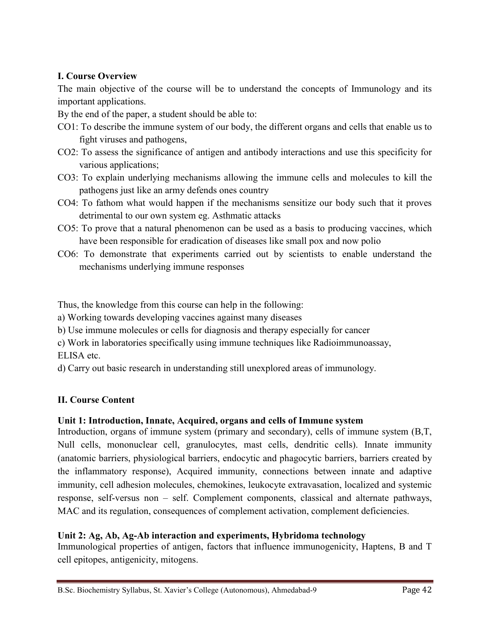# **I. Course Overview**

The main objective of the course will be to understand the concepts of Immunology and its important applications.

By the end of the paper, a student should be able to:

- CO1: To describe the immune system of our body, the different organs and cells that enable us to fight viruses and pathogens,
- CO2: To assess the significance of antigen and antibody interactions and use this specificity for various applications;
- CO3: To explain underlying mechanisms allowing the immune cells and molecules to kill the pathogens just like an army defends ones country
- CO4: To fathom what would happen if the mechanisms sensitize our body such that it proves detrimental to our own system eg. Asthmatic attacks
- CO5: To prove that a natural phenomenon can be used as a basis to producing vaccines, which have been responsible for eradication of diseases like small pox and now polio
- CO6: To demonstrate that experiments carried out by scientists to enable understand the mechanisms underlying immune responses

Thus, the knowledge from this course can help in the following:

a) Working towards developing vaccines against many diseases

b) Use immune molecules or cells for diagnosis and therapy especially for cancer

c) Work in laboratories specifically using immune techniques like Radioimmunoassay, ELISA etc.

d) Carry out basic research in understanding still unexplored areas of immunology.

# **II. Course Content**

# **Unit 1: Introduction, Innate, Acquired, organs and cells of Immune system**

Introduction, organs of immune system (primary and secondary), cells of immune system (B,T, Null cells, mononuclear cell, granulocytes, mast cells, dendritic cells). Innate immunity (anatomic barriers, physiological barriers, endocytic and phagocytic barriers, barriers created by the inflammatory response), Acquired immunity, connections between innate and adaptive immunity, cell adhesion molecules, chemokines, leukocyte extravasation, localized and systemic response, self-versus non – self. Complement components, classical and alternate pathways, MAC and its regulation, consequences of complement activation, complement deficiencies.

# **Unit 2: Ag, Ab, Ag-Ab interaction and experiments, Hybridoma technology**

Immunological properties of antigen, factors that influence immunogenicity, Haptens, B and T cell epitopes, antigenicity, mitogens.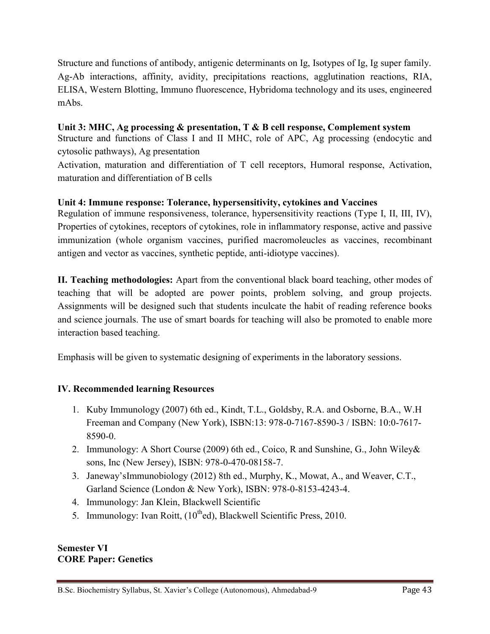Structure and functions of antibody, antigenic determinants on Ig, Isotypes of Ig, Ig super family. Ag-Ab interactions, affinity, avidity, precipitations reactions, agglutination reactions, RIA, ELISA, Western Blotting, Immuno fluorescence, Hybridoma technology and its uses, engineered mAbs.

# **Unit 3: MHC, Ag processing & presentation, T & B cell response, Complement system**

Structure and functions of Class I and II MHC, role of APC, Ag processing (endocytic and cytosolic pathways), Ag presentation

Activation, maturation and differentiation of T cell receptors, Humoral response, Activation, maturation and differentiation of B cells

# **Unit 4: Immune response: Tolerance, hypersensitivity, cytokines and Vaccines**

Regulation of immune responsiveness, tolerance, hypersensitivity reactions (Type I, II, III, IV), Properties of cytokines, receptors of cytokines, role in inflammatory response, active and passive immunization (whole organism vaccines, purified macromoleucles as vaccines, recombinant antigen and vector as vaccines, synthetic peptide, anti-idiotype vaccines).

**II. Teaching methodologies:** Apart from the conventional black board teaching, other modes of teaching that will be adopted are power points, problem solving, and group projects. Assignments will be designed such that students inculcate the habit of reading reference books and science journals. The use of smart boards for teaching will also be promoted to enable more interaction based teaching.

Emphasis will be given to systematic designing of experiments in the laboratory sessions.

## **IV. Recommended learning Resources**

- 1. Kuby Immunology (2007) 6th ed., Kindt, T.L., Goldsby, R.A. and Osborne, B.A., W.H Freeman and Company (New York), ISBN:13: 978-0-7167-8590-3 / ISBN: 10:0-7617- 8590-0.
- 2. Immunology: A Short Course (2009) 6th ed., Coico, R and Sunshine, G., John Wiley& sons, Inc (New Jersey), ISBN: 978-0-470-08158-7.
- 3. Janeway'sImmunobiology (2012) 8th ed., Murphy, K., Mowat, A., and Weaver, C.T., Garland Science (London & New York), ISBN: 978-0-8153-4243-4.
- 4. Immunology: Jan Klein, Blackwell Scientific
- 5. Immunology: Ivan Roitt,  $(10^{th}$ ed), Blackwell Scientific Press, 2010.

#### **Semester VI CORE Paper: Genetics**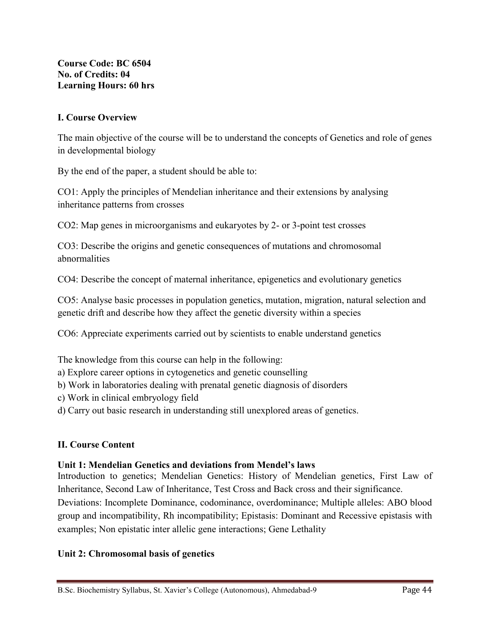**Course Code: BC 6504 No. of Credits: 04 Learning Hours: 60 hrs**

## **I. Course Overview**

The main objective of the course will be to understand the concepts of Genetics and role of genes in developmental biology

By the end of the paper, a student should be able to:

CO1: Apply the principles of Mendelian inheritance and their extensions by analysing inheritance patterns from crosses

CO2: Map genes in microorganisms and eukaryotes by 2- or 3-point test crosses

CO3: Describe the origins and genetic consequences of mutations and chromosomal abnormalities

CO4: Describe the concept of maternal inheritance, epigenetics and evolutionary genetics

CO5: Analyse basic processes in population genetics, mutation, migration, natural selection and genetic drift and describe how they affect the genetic diversity within a species

CO6: Appreciate experiments carried out by scientists to enable understand genetics

The knowledge from this course can help in the following:

a) Explore career options in cytogenetics and genetic counselling

b) Work in laboratories dealing with prenatal genetic diagnosis of disorders

c) Work in clinical embryology field

d) Carry out basic research in understanding still unexplored areas of genetics.

## **II. Course Content**

## **Unit 1: Mendelian Genetics and deviations from Mendel's laws**

Introduction to genetics; Mendelian Genetics: History of Mendelian genetics, First Law of Inheritance, Second Law of Inheritance, Test Cross and Back cross and their significance.

Deviations: Incomplete Dominance, codominance, overdominance; Multiple alleles: ABO blood group and incompatibility, Rh incompatibility; Epistasis: Dominant and Recessive epistasis with examples; Non epistatic inter allelic gene interactions; Gene Lethality

## **Unit 2: Chromosomal basis of genetics**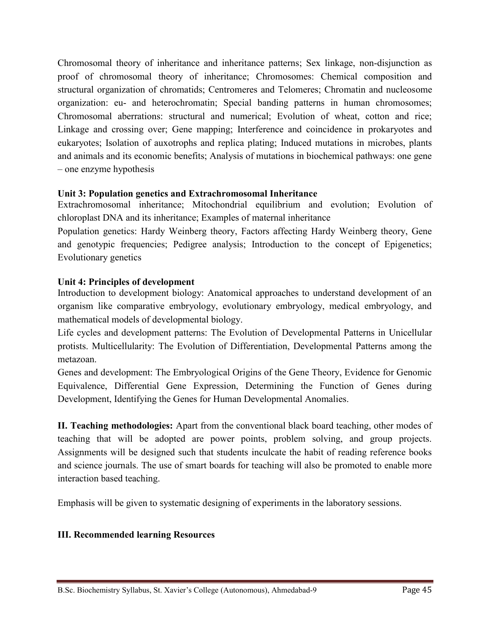Chromosomal theory of inheritance and inheritance patterns; Sex linkage, non-disjunction as proof of chromosomal theory of inheritance; Chromosomes: Chemical composition and structural organization of chromatids; Centromeres and Telomeres; Chromatin and nucleosome organization: eu- and heterochromatin; Special banding patterns in human chromosomes; Chromosomal aberrations: structural and numerical; Evolution of wheat, cotton and rice; Linkage and crossing over; Gene mapping; Interference and coincidence in prokaryotes and eukaryotes; Isolation of auxotrophs and replica plating; Induced mutations in microbes, plants and animals and its economic benefits; Analysis of mutations in biochemical pathways: one gene – one enzyme hypothesis

# **Unit 3: Population genetics and Extrachromosomal Inheritance**

Extrachromosomal inheritance; Mitochondrial equilibrium and evolution; Evolution of chloroplast DNA and its inheritance; Examples of maternal inheritance

Population genetics: Hardy Weinberg theory, Factors affecting Hardy Weinberg theory, Gene and genotypic frequencies; Pedigree analysis; Introduction to the concept of Epigenetics; Evolutionary genetics

# **Unit 4: Principles of development**

Introduction to development biology: Anatomical approaches to understand development of an organism like comparative embryology, evolutionary embryology, medical embryology, and mathematical models of developmental biology.

Life cycles and development patterns: The Evolution of Developmental Patterns in Unicellular protists. Multicellularity: The Evolution of Differentiation, Developmental Patterns among the metazoan.

Genes and development: The Embryological Origins of the Gene Theory, Evidence for Genomic Equivalence, Differential Gene Expression, Determining the Function of Genes during Development, Identifying the Genes for Human Developmental Anomalies.

**II. Teaching methodologies:** Apart from the conventional black board teaching, other modes of teaching that will be adopted are power points, problem solving, and group projects. Assignments will be designed such that students inculcate the habit of reading reference books and science journals. The use of smart boards for teaching will also be promoted to enable more interaction based teaching.

Emphasis will be given to systematic designing of experiments in the laboratory sessions.

# **III. Recommended learning Resources**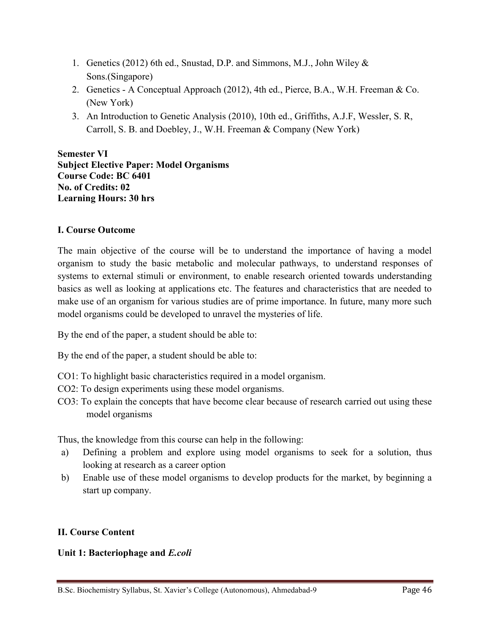- 1. Genetics (2012) 6th ed., Snustad, D.P. and Simmons, M.J., John Wiley & Sons.(Singapore)
- 2. Genetics A Conceptual Approach (2012), 4th ed., Pierce, B.A., W.H. Freeman & Co. (New York)
- 3. An Introduction to Genetic Analysis (2010), 10th ed., Griffiths, A.J.F, Wessler, S. R, Carroll, S. B. and Doebley, J., W.H. Freeman & Company (New York)

**Semester VI Subject Elective Paper: Model Organisms Course Code: BC 6401 No. of Credits: 02 Learning Hours: 30 hrs**

# **I. Course Outcome**

The main objective of the course will be to understand the importance of having a model organism to study the basic metabolic and molecular pathways, to understand responses of systems to external stimuli or environment, to enable research oriented towards understanding basics as well as looking at applications etc. The features and characteristics that are needed to make use of an organism for various studies are of prime importance. In future, many more such model organisms could be developed to unravel the mysteries of life.

By the end of the paper, a student should be able to:

By the end of the paper, a student should be able to:

- CO1: To highlight basic characteristics required in a model organism.
- CO2: To design experiments using these model organisms.
- CO3: To explain the concepts that have become clear because of research carried out using these model organisms

Thus, the knowledge from this course can help in the following:

- a) Defining a problem and explore using model organisms to seek for a solution, thus looking at research as a career option
- b) Enable use of these model organisms to develop products for the market, by beginning a start up company.

## **II. Course Content**

## **Unit 1: Bacteriophage and** *E.coli*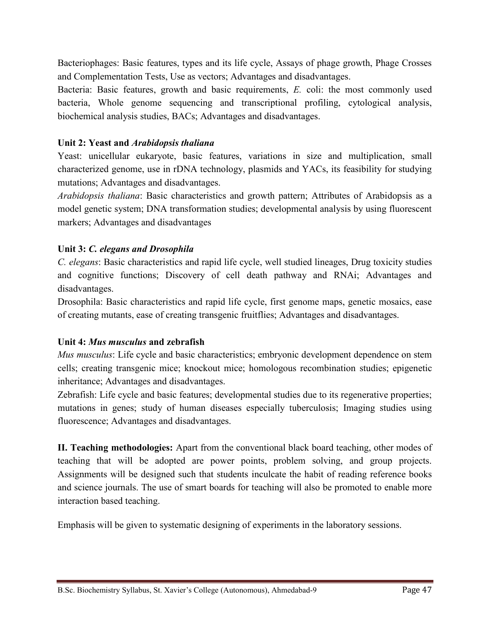Bacteriophages: Basic features, types and its life cycle, Assays of phage growth, Phage Crosses and Complementation Tests, Use as vectors; Advantages and disadvantages.

Bacteria: Basic features, growth and basic requirements, *E.* coli: the most commonly used bacteria, Whole genome sequencing and transcriptional profiling, cytological analysis, biochemical analysis studies, BACs; Advantages and disadvantages.

# **Unit 2: Yeast and** *Arabidopsis thaliana*

Yeast: unicellular eukaryote, basic features, variations in size and multiplication, small characterized genome, use in rDNA technology, plasmids and YACs, its feasibility for studying mutations; Advantages and disadvantages.

*Arabidopsis thaliana*: Basic characteristics and growth pattern; Attributes of Arabidopsis as a model genetic system; DNA transformation studies; developmental analysis by using fluorescent markers; Advantages and disadvantages

# **Unit 3:** *C. elegans and Drosophila*

*C. elegans*: Basic characteristics and rapid life cycle, well studied lineages, Drug toxicity studies and cognitive functions; Discovery of cell death pathway and RNAi; Advantages and disadvantages.

Drosophila: Basic characteristics and rapid life cycle, first genome maps, genetic mosaics, ease of creating mutants, ease of creating transgenic fruitflies; Advantages and disadvantages.

## **Unit 4:** *Mus musculus* **and zebrafish**

*Mus musculus*: Life cycle and basic characteristics; embryonic development dependence on stem cells; creating transgenic mice; knockout mice; homologous recombination studies; epigenetic inheritance; Advantages and disadvantages.

Zebrafish: Life cycle and basic features; developmental studies due to its regenerative properties; mutations in genes; study of human diseases especially tuberculosis; Imaging studies using fluorescence; Advantages and disadvantages.

**II. Teaching methodologies:** Apart from the conventional black board teaching, other modes of teaching that will be adopted are power points, problem solving, and group projects. Assignments will be designed such that students inculcate the habit of reading reference books and science journals. The use of smart boards for teaching will also be promoted to enable more interaction based teaching.

Emphasis will be given to systematic designing of experiments in the laboratory sessions.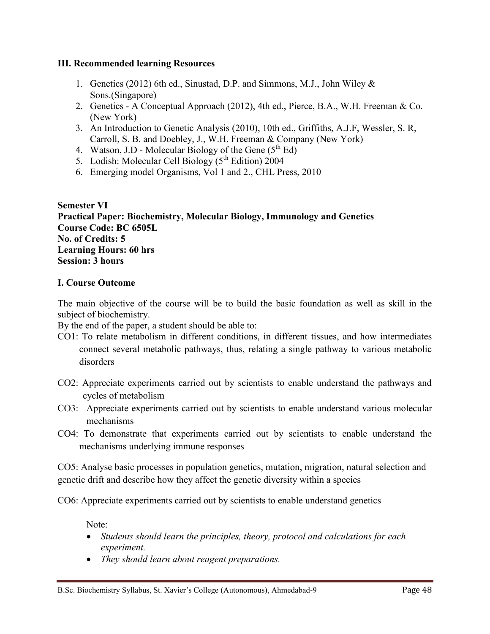#### **III. Recommended learning Resources**

- 1. Genetics (2012) 6th ed., Sinustad, D.P. and Simmons, M.J., John Wiley & Sons.(Singapore)
- 2. Genetics A Conceptual Approach (2012), 4th ed., Pierce, B.A., W.H. Freeman & Co. (New York)
- 3. An Introduction to Genetic Analysis (2010), 10th ed., Griffiths, A.J.F, Wessler, S. R, Carroll, S. B. and Doebley, J., W.H. Freeman & Company (New York)
- 4. Watson, J.D Molecular Biology of the Gene  $(5^{th} Ed)$
- 5. Lodish: Molecular Cell Biology  $(5^{th}$  Edition) 2004
- 6. Emerging model Organisms, Vol 1 and 2., CHL Press, 2010

**Semester VI Practical Paper: Biochemistry, Molecular Biology, Immunology and Genetics Course Code: BC 6505L No. of Credits: 5 Learning Hours: 60 hrs Session: 3 hours**

#### **I. Course Outcome**

The main objective of the course will be to build the basic foundation as well as skill in the subject of biochemistry.

By the end of the paper, a student should be able to:

- CO1: To relate metabolism in different conditions, in different tissues, and how intermediates connect several metabolic pathways, thus, relating a single pathway to various metabolic disorders
- CO2: Appreciate experiments carried out by scientists to enable understand the pathways and cycles of metabolism
- CO3: Appreciate experiments carried out by scientists to enable understand various molecular mechanisms
- CO4: To demonstrate that experiments carried out by scientists to enable understand the mechanisms underlying immune responses

CO5: Analyse basic processes in population genetics, mutation, migration, natural selection and genetic drift and describe how they affect the genetic diversity within a species

CO6: Appreciate experiments carried out by scientists to enable understand genetics

Note:

- *Students should learn the principles, theory, protocol and calculations for each experiment.*
- *They should learn about reagent preparations.*